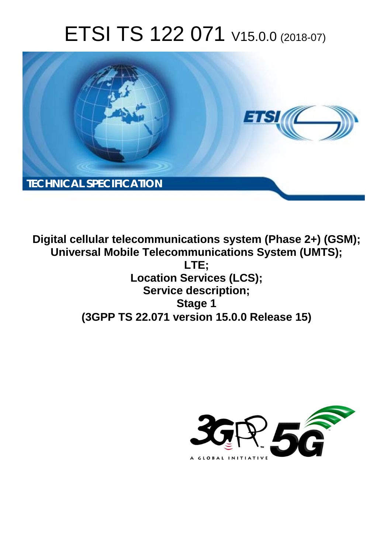# ETSI TS 122 071 V15.0.0 (2018-07)



**Digital cellular telecommunications system (Phase 2+) (GSM); Universal Mobile Telecommunications System (UMTS); LTE; Location Services (LCS); Service description; Stage 1 (3GPP TS 22.071 version 15.0.0 Release 15)** 

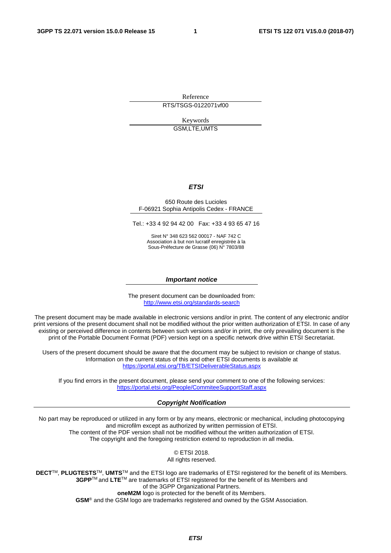Reference

RTS/TSGS-0122071vf00

Keywords GSM,LTE,UMTS

#### *ETSI*

#### 650 Route des Lucioles F-06921 Sophia Antipolis Cedex - FRANCE

Tel.: +33 4 92 94 42 00 Fax: +33 4 93 65 47 16

Siret N° 348 623 562 00017 - NAF 742 C Association à but non lucratif enregistrée à la Sous-Préfecture de Grasse (06) N° 7803/88

#### *Important notice*

The present document can be downloaded from: <http://www.etsi.org/standards-search>

The present document may be made available in electronic versions and/or in print. The content of any electronic and/or print versions of the present document shall not be modified without the prior written authorization of ETSI. In case of any existing or perceived difference in contents between such versions and/or in print, the only prevailing document is the print of the Portable Document Format (PDF) version kept on a specific network drive within ETSI Secretariat.

Users of the present document should be aware that the document may be subject to revision or change of status. Information on the current status of this and other ETSI documents is available at <https://portal.etsi.org/TB/ETSIDeliverableStatus.aspx>

If you find errors in the present document, please send your comment to one of the following services: <https://portal.etsi.org/People/CommiteeSupportStaff.aspx>

#### *Copyright Notification*

No part may be reproduced or utilized in any form or by any means, electronic or mechanical, including photocopying and microfilm except as authorized by written permission of ETSI. The content of the PDF version shall not be modified without the written authorization of ETSI.

The copyright and the foregoing restriction extend to reproduction in all media.

© ETSI 2018. All rights reserved.

**DECT**TM, **PLUGTESTS**TM, **UMTS**TM and the ETSI logo are trademarks of ETSI registered for the benefit of its Members. **3GPP**TM and **LTE**TM are trademarks of ETSI registered for the benefit of its Members and of the 3GPP Organizational Partners. **oneM2M** logo is protected for the benefit of its Members.

**GSM**® and the GSM logo are trademarks registered and owned by the GSM Association.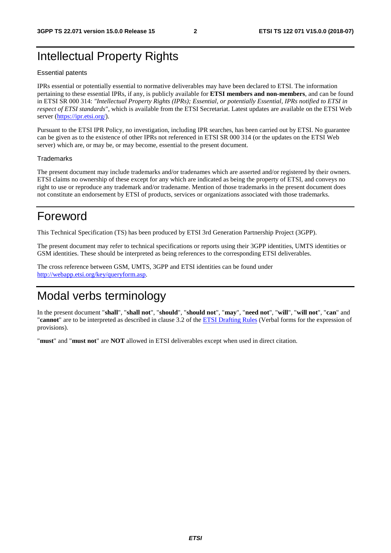# Intellectual Property Rights

#### Essential patents

IPRs essential or potentially essential to normative deliverables may have been declared to ETSI. The information pertaining to these essential IPRs, if any, is publicly available for **ETSI members and non-members**, and can be found in ETSI SR 000 314: *"Intellectual Property Rights (IPRs); Essential, or potentially Essential, IPRs notified to ETSI in respect of ETSI standards"*, which is available from the ETSI Secretariat. Latest updates are available on the ETSI Web server ([https://ipr.etsi.org/\)](https://ipr.etsi.org/).

Pursuant to the ETSI IPR Policy, no investigation, including IPR searches, has been carried out by ETSI. No guarantee can be given as to the existence of other IPRs not referenced in ETSI SR 000 314 (or the updates on the ETSI Web server) which are, or may be, or may become, essential to the present document.

#### **Trademarks**

The present document may include trademarks and/or tradenames which are asserted and/or registered by their owners. ETSI claims no ownership of these except for any which are indicated as being the property of ETSI, and conveys no right to use or reproduce any trademark and/or tradename. Mention of those trademarks in the present document does not constitute an endorsement by ETSI of products, services or organizations associated with those trademarks.

# Foreword

This Technical Specification (TS) has been produced by ETSI 3rd Generation Partnership Project (3GPP).

The present document may refer to technical specifications or reports using their 3GPP identities, UMTS identities or GSM identities. These should be interpreted as being references to the corresponding ETSI deliverables.

The cross reference between GSM, UMTS, 3GPP and ETSI identities can be found under [http://webapp.etsi.org/key/queryform.asp.](http://webapp.etsi.org/key/queryform.asp)

# Modal verbs terminology

In the present document "**shall**", "**shall not**", "**should**", "**should not**", "**may**", "**need not**", "**will**", "**will not**", "**can**" and "**cannot**" are to be interpreted as described in clause 3.2 of the [ETSI Drafting Rules](https://portal.etsi.org/Services/editHelp!/Howtostart/ETSIDraftingRules.aspx) (Verbal forms for the expression of provisions).

"**must**" and "**must not**" are **NOT** allowed in ETSI deliverables except when used in direct citation.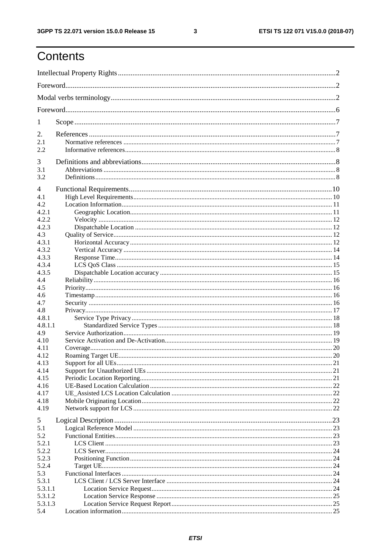$\mathbf{3}$ 

# Contents

| 1                                          |  |  |  |
|--------------------------------------------|--|--|--|
| 2.<br>2.1<br>2.2                           |  |  |  |
| 3<br>3.1<br>3.2                            |  |  |  |
| 4<br>4.1<br>4.2<br>4.2.1<br>4.2.2<br>4.2.3 |  |  |  |
| 4.3<br>4.3.1<br>4.3.2<br>4.3.3<br>4.3.4    |  |  |  |
| 4.3.5<br>4.4<br>4.5<br>4.6                 |  |  |  |
| 4.7<br>4.8<br>4.8.1                        |  |  |  |
| 4.8.1.1<br>4.9<br>4.10<br>4.11             |  |  |  |
| 4.12<br>4.13<br>4.14                       |  |  |  |
| 4.15<br>4.16<br>4.17<br>4.18               |  |  |  |
| 4.19<br>5                                  |  |  |  |
| 5.1<br>5.2<br>5.2.1                        |  |  |  |
| 5.2.2<br>5.2.3<br>5.2.4                    |  |  |  |
| 5.3<br>5.3.1<br>5.3.1.1<br>5.3.1.2         |  |  |  |
| 5.3.1.3<br>5.4                             |  |  |  |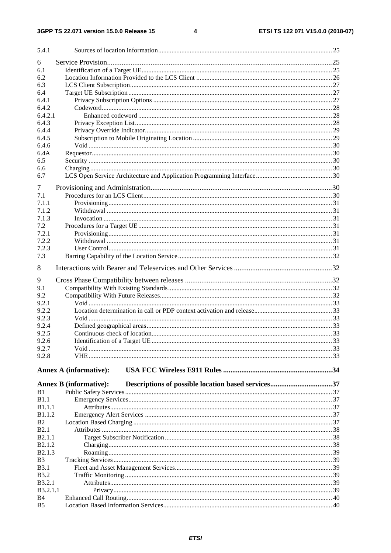$\overline{\mathbf{4}}$ 

| 5.4.1                |                               |  |
|----------------------|-------------------------------|--|
| 6                    |                               |  |
| 6.1                  |                               |  |
| 6.2                  |                               |  |
| 6.3                  |                               |  |
| 6.4                  |                               |  |
| 6.4.1                |                               |  |
| 6.4.2                |                               |  |
| 6.4.2.1              |                               |  |
| 6.4.3                |                               |  |
| 6.4.4                |                               |  |
| 6.4.5                |                               |  |
| 6.4.6                |                               |  |
| 6.4A                 |                               |  |
| 6.5                  |                               |  |
| 6.6                  |                               |  |
| 6.7                  |                               |  |
| 7                    |                               |  |
| 7.1                  |                               |  |
| 7.1.1                |                               |  |
| 7.1.2                |                               |  |
| 7.1.3                |                               |  |
| 7.2                  |                               |  |
| 7.2.1                |                               |  |
| 7.2.2                |                               |  |
| 7.2.3                |                               |  |
| 7.3                  |                               |  |
| 8                    |                               |  |
| 9                    |                               |  |
| 9.1                  |                               |  |
| 9.2                  |                               |  |
| 9.2.1                |                               |  |
| 9.2.2                |                               |  |
| 9.2.3                |                               |  |
| 9.2.4                |                               |  |
| 9.2.5                |                               |  |
| 9.2.6                |                               |  |
| 9.2.7                |                               |  |
| 9.2.8                |                               |  |
|                      |                               |  |
|                      | <b>Annex A (informative):</b> |  |
|                      | <b>Annex B</b> (informative): |  |
| B1                   |                               |  |
| B1.1                 |                               |  |
| <b>B1.1.1</b>        |                               |  |
| <b>B1.1.2</b>        |                               |  |
| B <sub>2</sub>       |                               |  |
| <b>B2.1</b>          |                               |  |
| <b>B2.1.1</b>        |                               |  |
| B <sub>2.1.2</sub>   |                               |  |
| B <sub>2.1.3</sub>   |                               |  |
| B <sub>3</sub>       |                               |  |
| <b>B</b> 3.1         |                               |  |
| <b>B3.2</b>          |                               |  |
| <b>B</b> 3.2.1       |                               |  |
| B3.2.1.1             |                               |  |
| B4<br>B <sub>5</sub> |                               |  |
|                      |                               |  |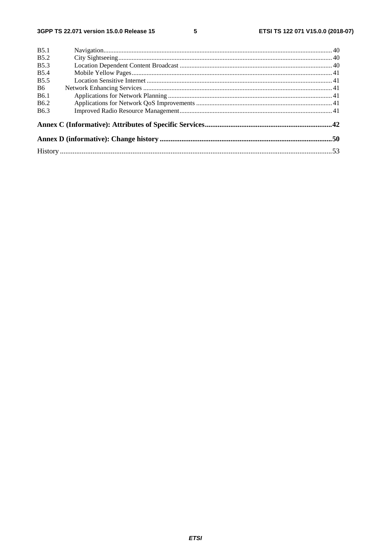$5\phantom{a}$ 

| <b>B5.1</b>      |  |
|------------------|--|
| <b>B5.2</b>      |  |
| <b>B5.3</b>      |  |
| <b>B5.4</b>      |  |
| <b>B5.5</b>      |  |
| <b>B6</b>        |  |
| B <sub>6.1</sub> |  |
| B <sub>6.2</sub> |  |
| B <sub>6.3</sub> |  |
|                  |  |
|                  |  |
|                  |  |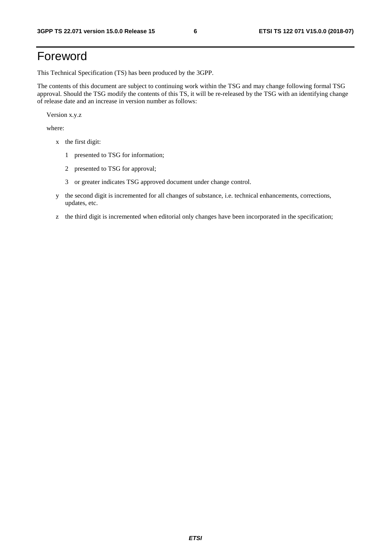# Foreword

This Technical Specification (TS) has been produced by the 3GPP.

The contents of this document are subject to continuing work within the TSG and may change following formal TSG approval. Should the TSG modify the contents of this TS, it will be re-released by the TSG with an identifying change of release date and an increase in version number as follows:

Version x.y.z

where:

- x the first digit:
	- 1 presented to TSG for information;
	- 2 presented to TSG for approval;
	- 3 or greater indicates TSG approved document under change control.
- y the second digit is incremented for all changes of substance, i.e. technical enhancements, corrections, updates, etc.
- z the third digit is incremented when editorial only changes have been incorporated in the specification;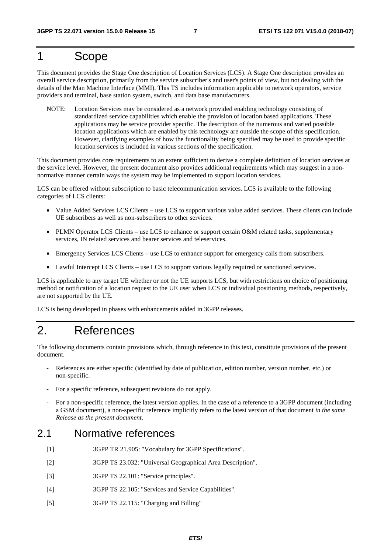# 1 Scope

This document provides the Stage One description of Location Services (LCS). A Stage One description provides an overall service description, primarily from the service subscriber's and user's points of view, but not dealing with the details of the Man Machine Interface (MMI). This TS includes information applicable to network operators, service providers and terminal, base station system, switch, and data base manufacturers.

NOTE: Location Services may be considered as a network provided enabling technology consisting of standardized service capabilities which enable the provision of location based applications. These applications may be service provider specific. The description of the numerous and varied possible location applications which are enabled by this technology are outside the scope of this specification. However, clarifying examples of how the functionality being specified may be used to provide specific location services is included in various sections of the specification.

This document provides core requirements to an extent sufficient to derive a complete definition of location services at the service level. However, the present document also provides additional requirements which may suggest in a nonnormative manner certain ways the system may be implemented to support location services.

LCS can be offered without subscription to basic telecommunication services. LCS is available to the following categories of LCS clients:

- Value Added Services LCS Clients use LCS to support various value added services. These clients can include UE subscribers as well as non-subscribers to other services.
- PLMN Operator LCS Clients use LCS to enhance or support certain O&M related tasks, supplementary services, IN related services and bearer services and teleservices.
- Emergency Services LCS Clients use LCS to enhance support for emergency calls from subscribers.
- Lawful Intercept LCS Clients use LCS to support various legally required or sanctioned services.

LCS is applicable to any target UE whether or not the UE supports LCS, but with restrictions on choice of positioning method or notification of a location request to the UE user when LCS or individual positioning methods, respectively, are not supported by the UE.

LCS is being developed in phases with enhancements added in 3GPP releases.

# 2. References

The following documents contain provisions which, through reference in this text, constitute provisions of the present document.

- References are either specific (identified by date of publication, edition number, version number, etc.) or non-specific.
- For a specific reference, subsequent revisions do not apply.
- For a non-specific reference, the latest version applies. In the case of a reference to a 3GPP document (including a GSM document), a non-specific reference implicitly refers to the latest version of that document *in the same Release as the present document*.

#### 2.1 Normative references

- [1] 3GPP TR 21.905: "Vocabulary for 3GPP Specifications".
- [2] 3GPP TS 23.032: "Universal Geographical Area Description".
- [3] 3GPP TS 22.101: "Service principles".
- [4] 3GPP TS 22.105: "Services and Service Capabilities".
- [5] 3GPP TS 22.115: "Charging and Billing"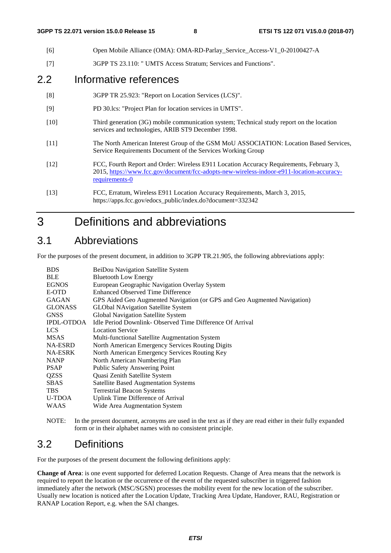| [6]    | Open Mobile Alliance (OMA): OMA-RD-Parlay_Service_Access-V1_0-20100427-A                                                                                                                               |
|--------|--------------------------------------------------------------------------------------------------------------------------------------------------------------------------------------------------------|
| $[7]$  | 3GPP TS 23.110: " UMTS Access Stratum; Services and Functions".                                                                                                                                        |
| 2.2    | Informative references                                                                                                                                                                                 |
| [8]    | 3GPP TR 25.923: "Report on Location Services (LCS)".                                                                                                                                                   |
| $[9]$  | PD 30.1cs: "Project Plan for location services in UMTS".                                                                                                                                               |
| $[10]$ | Third generation (3G) mobile communication system; Technical study report on the location<br>services and technologies, ARIB ST9 December 1998.                                                        |
| $[11]$ | The North American Interest Group of the GSM MoU ASSOCIATION: Location Based Services,<br>Service Requirements Document of the Services Working Group                                                  |
| $[12]$ | FCC, Fourth Report and Order: Wireless E911 Location Accuracy Requirements, February 3,<br>2015, https://www.fcc.gov/document/fcc-adopts-new-wireless-indoor-e911-location-accuracy-<br>requirements-0 |
| $[13]$ | FCC, Erratum, Wireless E911 Location Accuracy Requirements, March 3, 2015,<br>https://apps.fcc.gov/edocs_public/index.do?document=332342                                                               |

# 3 Definitions and abbreviations

## 3.1 Abbreviations

For the purposes of the present document, in addition to 3GPP TR.21.905, the following abbreviations apply:

| <b>BDS</b>        | BeiDou Navigation Satellite System                                       |
|-------------------|--------------------------------------------------------------------------|
| <b>BLE</b>        | <b>Bluetooth Low Energy</b>                                              |
| <b>EGNOS</b>      | European Geographic Navigation Overlay System                            |
| E-OTD             | <b>Enhanced Observed Time Difference</b>                                 |
| <b>GAGAN</b>      | GPS Aided Geo Augmented Navigation (or GPS and Geo Augmented Navigation) |
| <b>GLONASS</b>    | <b>GLObal NAvigation Satellite System</b>                                |
| <b>GNSS</b>       | Global Navigation Satellite System                                       |
| <b>IPDL-OTDOA</b> | Idle Period Downlink - Observed Time Difference Of Arrival               |
| LCS.              | <b>Location Service</b>                                                  |
| <b>MSAS</b>       | Multi-functional Satellite Augmentation System                           |
| NA-ESRD           | North American Emergency Services Routing Digits                         |
| <b>NA-ESRK</b>    | North American Emergency Services Routing Key                            |
| <b>NANP</b>       | North American Numbering Plan                                            |
| <b>PSAP</b>       | <b>Public Safety Answering Point</b>                                     |
| <b>QZSS</b>       | Quasi Zenith Satellite System                                            |
| <b>SBAS</b>       | <b>Satellite Based Augmentation Systems</b>                              |
| <b>TBS</b>        | <b>Terrestrial Beacon Systems</b>                                        |
| U-TDOA            | Uplink Time Difference of Arrival                                        |
| <b>WAAS</b>       | Wide Area Augmentation System                                            |
|                   |                                                                          |

NOTE: In the present document, acronyms are used in the text as if they are read either in their fully expanded form or in their alphabet names with no consistent principle.

## 3.2 Definitions

For the purposes of the present document the following definitions apply:

**Change of Area**: is one event supported for deferred Location Requests. Change of Area means that the network is required to report the location or the occurrence of the event of the requested subscriber in triggered fashion immediately after the network (MSC/SGSN) processes the mobility event for the new location of the subscriber. Usually new location is noticed after the Location Update, Tracking Area Update, Handover, RAU, Registration or RANAP Location Report, e.g. when the SAI changes.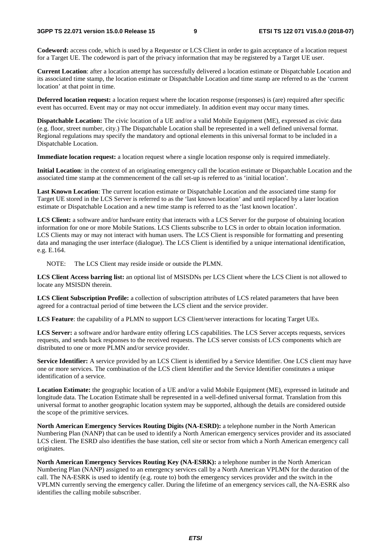**Codeword:** access code, which is used by a Requestor or LCS Client in order to gain acceptance of a location request for a Target UE. The codeword is part of the privacy information that may be registered by a Target UE user.

**Current Location**: after a location attempt has successfully delivered a location estimate or Dispatchable Location and its associated time stamp, the location estimate or Dispatchable Location and time stamp are referred to as the 'current location' at that point in time.

**Deferred location request:** a location request where the location response (responses) is (are) required after specific event has occurred. Event may or may not occur immediately. In addition event may occur many times.

**Dispatchable Location:** The civic location of a UE and/or a valid Mobile Equipment (ME), expressed as civic data (e.g. floor, street number, city.) The Dispatchable Location shall be represented in a well defined universal format. Regional regulations may specify the mandatory and optional elements in this universal format to be included in a Dispatchable Location.

**Immediate location request:** a location request where a single location response only is required immediately.

**Initial Location**: in the context of an originating emergency call the location estimate or Dispatchable Location and the associated time stamp at the commencement of the call set-up is referred to as 'initial location'.

**Last Known Location**: The current location estimate or Dispatchable Location and the associated time stamp for Target UE stored in the LCS Server is referred to as the 'last known location' and until replaced by a later location estimate or Dispatchable Location and a new time stamp is referred to as the 'last known location'.

LCS Client: a software and/or hardware entity that interacts with a LCS Server for the purpose of obtaining location information for one or more Mobile Stations. LCS Clients subscribe to LCS in order to obtain location information. LCS Clients may or may not interact with human users. The LCS Client is responsible for formatting and presenting data and managing the user interface (dialogue). The LCS Client is identified by a unique international identification, e.g. E.164.

NOTE: The LCS Client may reside inside or outside the PLMN.

**LCS Client Access barring list:** an optional list of MSISDNs per LCS Client where the LCS Client is not allowed to locate any MSISDN therein.

**LCS Client Subscription Profile:** a collection of subscription attributes of LCS related parameters that have been agreed for a contractual period of time between the LCS client and the service provider.

**LCS Feature**: the capability of a PLMN to support LCS Client/server interactions for locating Target UEs.

**LCS Server:** a software and/or hardware entity offering LCS capabilities. The LCS Server accepts requests, services requests, and sends back responses to the received requests. The LCS server consists of LCS components which are distributed to one or more PLMN and/or service provider.

**Service Identifier:** A service provided by an LCS Client is identified by a Service Identifier. One LCS client may have one or more services. The combination of the LCS client Identifier and the Service Identifier constitutes a unique identification of a service.

**Location Estimate:** the geographic location of a UE and/or a valid Mobile Equipment (ME), expressed in latitude and longitude data. The Location Estimate shall be represented in a well-defined universal format. Translation from this universal format to another geographic location system may be supported, although the details are considered outside the scope of the primitive services.

**North American Emergency Services Routing Digits (NA-ESRD):** a telephone number in the North American Numbering Plan (NANP) that can be used to identify a North American emergency services provider and its associated LCS client. The ESRD also identifies the base station, cell site or sector from which a North American emergency call originates.

**North American Emergency Services Routing Key (NA-ESRK):** a telephone number in the North American Numbering Plan (NANP) assigned to an emergency services call by a North American VPLMN for the duration of the call. The NA-ESRK is used to identify (e.g. route to) both the emergency services provider and the switch in the VPLMN currently serving the emergency caller. During the lifetime of an emergency services call, the NA-ESRK also identifies the calling mobile subscriber.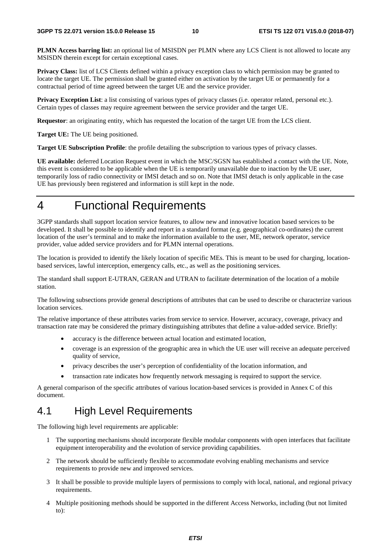**PLMN Access barring list:** an optional list of MSISDN per PLMN where any LCS Client is not allowed to locate any MSISDN therein except for certain exceptional cases.

**Privacy Class:** list of LCS Clients defined within a privacy exception class to which permission may be granted to locate the target UE. The permission shall be granted either on activation by the target UE or permanently for a contractual period of time agreed between the target UE and the service provider.

**Privacy Exception List**: a list consisting of various types of privacy classes (i.e. operator related, personal etc.). Certain types of classes may require agreement between the service provider and the target UE.

**Requestor**: an originating entity, which has requested the location of the target UE from the LCS client.

**Target UE:** The UE being positioned.

**Target UE Subscription Profile**: the profile detailing the subscription to various types of privacy classes.

**UE available:** deferred Location Request event in which the MSC/SGSN has established a contact with the UE. Note, this event is considered to be applicable when the UE is temporarily unavailable due to inaction by the UE user, temporarily loss of radio connectivity or IMSI detach and so on. Note that IMSI detach is only applicable in the case UE has previously been registered and information is still kept in the node.

4 Functional Requirements

3GPP standards shall support location service features, to allow new and innovative location based services to be developed. It shall be possible to identify and report in a standard format (e.g. geographical co-ordinates) the current location of the user's terminal and to make the information available to the user, ME, network operator, service provider, value added service providers and for PLMN internal operations.

The location is provided to identify the likely location of specific MEs. This is meant to be used for charging, locationbased services, lawful interception, emergency calls, etc., as well as the positioning services.

The standard shall support E-UTRAN, GERAN and UTRAN to facilitate determination of the location of a mobile station.

The following subsections provide general descriptions of attributes that can be used to describe or characterize various location services.

The relative importance of these attributes varies from service to service. However, accuracy, coverage, privacy and transaction rate may be considered the primary distinguishing attributes that define a value-added service. Briefly:

- accuracy is the difference between actual location and estimated location,
- coverage is an expression of the geographic area in which the UE user will receive an adequate perceived quality of service,
- privacy describes the user's perception of confidentiality of the location information, and
- transaction rate indicates how frequently network messaging is required to support the service.

A general comparison of the specific attributes of various location-based services is provided in Annex C of this document.

## 4.1 High Level Requirements

The following high level requirements are applicable:

- 1 The supporting mechanisms should incorporate flexible modular components with open interfaces that facilitate equipment interoperability and the evolution of service providing capabilities.
- 2 The network should be sufficiently flexible to accommodate evolving enabling mechanisms and service requirements to provide new and improved services.
- 3 It shall be possible to provide multiple layers of permissions to comply with local, national, and regional privacy requirements.
- 4 Multiple positioning methods should be supported in the different Access Networks, including (but not limited to):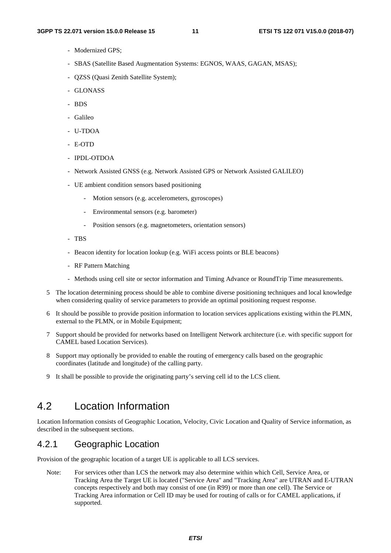- Modernized GPS;
- SBAS (Satellite Based Augmentation Systems: EGNOS, WAAS, GAGAN, MSAS);
- QZSS (Quasi Zenith Satellite System);
- GLONASS
- BDS
- Galileo
- U-TDOA
- E-OTD
- IPDL-OTDOA
- Network Assisted GNSS (e.g. Network Assisted GPS or Network Assisted GALILEO)
- UE ambient condition sensors based positioning
	- Motion sensors (e.g. accelerometers, gyroscopes)
	- Environmental sensors (e.g. barometer)
	- Position sensors (e.g. magnetometers, orientation sensors)
- TBS
- Beacon identity for location lookup (e.g. WiFi access points or BLE beacons)
- RF Pattern Matching
- Methods using cell site or sector information and Timing Advance or RoundTrip Time measurements.
- 5 The location determining process should be able to combine diverse positioning techniques and local knowledge when considering quality of service parameters to provide an optimal positioning request response.
- 6 It should be possible to provide position information to location services applications existing within the PLMN, external to the PLMN, or in Mobile Equipment;
- 7 Support should be provided for networks based on Intelligent Network architecture (i.e. with specific support for CAMEL based Location Services).
- 8 Support may optionally be provided to enable the routing of emergency calls based on the geographic coordinates (latitude and longitude) of the calling party.
- 9 It shall be possible to provide the originating party's serving cell id to the LCS client.

#### 4.2 Location Information

Location Information consists of Geographic Location, Velocity, Civic Location and Quality of Service information, as described in the subsequent sections.

#### 4.2.1 Geographic Location

Provision of the geographic location of a target UE is applicable to all LCS services.

Note: For services other than LCS the network may also determine within which Cell, Service Area, or Tracking Area the Target UE is located ("Service Area" and "Tracking Area" are UTRAN and E-UTRAN concepts respectively and both may consist of one (in R99) or more than one cell). The Service or Tracking Area information or Cell ID may be used for routing of calls or for CAMEL applications, if supported.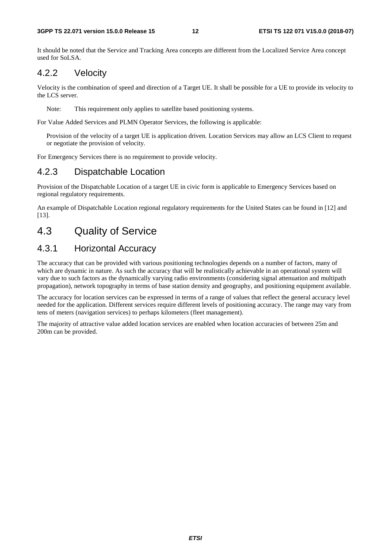It should be noted that the Service and Tracking Area concepts are different from the Localized Service Area concept used for SoLSA.

#### 4.2.2 Velocity

Velocity is the combination of speed and direction of a Target UE. It shall be possible for a UE to provide its velocity to the LCS server.

Note: This requirement only applies to satellite based positioning systems.

For Value Added Services and PLMN Operator Services, the following is applicable:

Provision of the velocity of a target UE is application driven. Location Services may allow an LCS Client to request or negotiate the provision of velocity.

For Emergency Services there is no requirement to provide velocity.

#### 4.2.3 Dispatchable Location

Provision of the Dispatchable Location of a target UE in civic form is applicable to Emergency Services based on regional regulatory requirements.

An example of Dispatchable Location regional regulatory requirements for the United States can be found in [12] and [13].

## 4.3 Quality of Service

#### 4.3.1 Horizontal Accuracy

The accuracy that can be provided with various positioning technologies depends on a number of factors, many of which are dynamic in nature. As such the accuracy that will be realistically achievable in an operational system will vary due to such factors as the dynamically varying radio environments (considering signal attenuation and multipath propagation), network topography in terms of base station density and geography, and positioning equipment available.

The accuracy for location services can be expressed in terms of a range of values that reflect the general accuracy level needed for the application. Different services require different levels of positioning accuracy. The range may vary from tens of meters (navigation services) to perhaps kilometers (fleet management).

The majority of attractive value added location services are enabled when location accuracies of between 25m and 200m can be provided.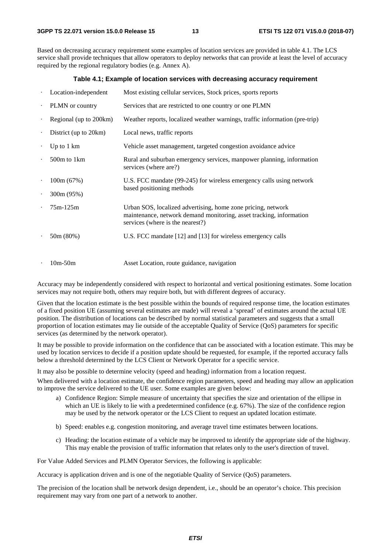Based on decreasing accuracy requirement some examples of location services are provided in table 4.1. The LCS service shall provide techniques that allow operators to deploy networks that can provide at least the level of accuracy required by the regional regulatory bodies (e.g. Annex A).

#### **Table 4.1; Example of location services with decreasing accuracy requirement**

|           | Location-independent   | Most existing cellular services, Stock prices, sports reports                                                                                                           |
|-----------|------------------------|-------------------------------------------------------------------------------------------------------------------------------------------------------------------------|
| $\bullet$ | PLMN or country        | Services that are restricted to one country or one PLMN                                                                                                                 |
| $\bullet$ | Regional (up to 200km) | Weather reports, localized weather warnings, traffic information (pre-trip)                                                                                             |
| $\bullet$ | District (up to 20km)  | Local news, traffic reports                                                                                                                                             |
| $\bullet$ | Up to $1 \text{ km}$   | Vehicle asset management, targeted congestion avoidance advice                                                                                                          |
| $\bullet$ | 500m to 1km            | Rural and suburban emergency services, manpower planning, information<br>services (where are?)                                                                          |
| $\bullet$ | 100m(67%)              | U.S. FCC mandate (99-245) for wireless emergency calls using network                                                                                                    |
| $\bullet$ | 300m (95%)             | based positioning methods                                                                                                                                               |
|           | $75m-125m$             | Urban SOS, localized advertising, home zone pricing, network<br>maintenance, network demand monitoring, asset tracking, information<br>services (where is the nearest?) |
|           | 50m (80%)              | U.S. FCC mandate [12] and [13] for wireless emergency calls                                                                                                             |
|           | $10m-50m$              | Asset Location, route guidance, navigation                                                                                                                              |

Accuracy may be independently considered with respect to horizontal and vertical positioning estimates. Some location services may not require both, others may require both, but with different degrees of accuracy.

Given that the location estimate is the best possible within the bounds of required response time, the location estimates of a fixed position UE (assuming several estimates are made) will reveal a 'spread' of estimates around the actual UE position. The distribution of locations can be described by normal statistical parameters and suggests that a small proportion of location estimates may lie outside of the acceptable Quality of Service (QoS) parameters for specific services (as determined by the network operator).

It may be possible to provide information on the confidence that can be associated with a location estimate. This may be used by location services to decide if a position update should be requested, for example, if the reported accuracy falls below a threshold determined by the LCS Client or Network Operator for a specific service.

It may also be possible to determine velocity (speed and heading) information from a location request.

When delivered with a location estimate, the confidence region parameters, speed and heading may allow an application to improve the service delivered to the UE user. Some examples are given below:

- a) Confidence Region: Simple measure of uncertainty that specifies the size and orientation of the ellipse in which an UE is likely to lie with a predetermined confidence (e.g. 67%). The size of the confidence region may be used by the network operator or the LCS Client to request an updated location estimate.
- b) Speed: enables e.g. congestion monitoring, and average travel time estimates between locations.
- c) Heading: the location estimate of a vehicle may be improved to identify the appropriate side of the highway. This may enable the provision of traffic information that relates only to the user's direction of travel.

For Value Added Services and PLMN Operator Services, the following is applicable:

Accuracy is application driven and is one of the negotiable Quality of Service (QoS) parameters.

The precision of the location shall be network design dependent, i.e., should be an operator's choice. This precision requirement may vary from one part of a network to another.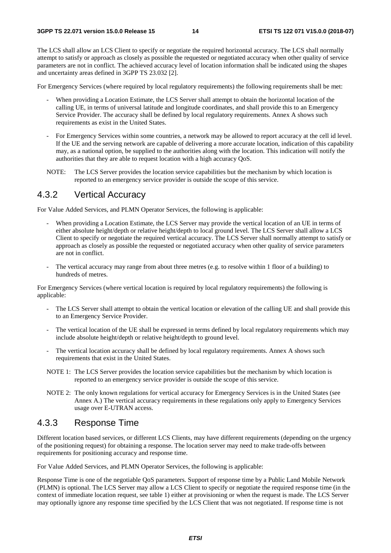The LCS shall allow an LCS Client to specify or negotiate the required horizontal accuracy. The LCS shall normally attempt to satisfy or approach as closely as possible the requested or negotiated accuracy when other quality of service parameters are not in conflict. The achieved accuracy level of location information shall be indicated using the shapes and uncertainty areas defined in 3GPP TS 23.032 [2].

For Emergency Services (where required by local regulatory requirements) the following requirements shall be met:

- When providing a Location Estimate, the LCS Server shall attempt to obtain the horizontal location of the calling UE, in terms of universal latitude and longitude coordinates, and shall provide this to an Emergency Service Provider. The accuracy shall be defined by local regulatory requirements. Annex A shows such requirements as exist in the United States.
- For Emergency Services within some countries, a network may be allowed to report accuracy at the cell id level. If the UE and the serving network are capable of delivering a more accurate location, indication of this capability may, as a national option, be supplied to the authorities along with the location. This indication will notify the authorities that they are able to request location with a high accuracy QoS.
- NOTE: The LCS Server provides the location service capabilities but the mechanism by which location is reported to an emergency service provider is outside the scope of this service.

#### 4.3.2 Vertical Accuracy

For Value Added Services, and PLMN Operator Services, the following is applicable:

- When providing a Location Estimate, the LCS Server may provide the vertical location of an UE in terms of either absolute height/depth or relative height/depth to local ground level. The LCS Server shall allow a LCS Client to specify or negotiate the required vertical accuracy. The LCS Server shall normally attempt to satisfy or approach as closely as possible the requested or negotiated accuracy when other quality of service parameters are not in conflict.
- The vertical accuracy may range from about three metres (e.g. to resolve within 1 floor of a building) to hundreds of metres.

For Emergency Services (where vertical location is required by local regulatory requirements) the following is applicable:

- The LCS Server shall attempt to obtain the vertical location or elevation of the calling UE and shall provide this to an Emergency Service Provider.
- The vertical location of the UE shall be expressed in terms defined by local regulatory requirements which may include absolute height/depth or relative height/depth to ground level.
- The vertical location accuracy shall be defined by local regulatory requirements. Annex A shows such requirements that exist in the United States.
- NOTE 1: The LCS Server provides the location service capabilities but the mechanism by which location is reported to an emergency service provider is outside the scope of this service.
- NOTE 2: The only known regulations for vertical accuracy for Emergency Services is in the United States (see Annex A.) The vertical accuracy requirements in these regulations only apply to Emergency Services usage over E-UTRAN access.

#### 4.3.3 Response Time

Different location based services, or different LCS Clients, may have different requirements (depending on the urgency of the positioning request) for obtaining a response. The location server may need to make trade-offs between requirements for positioning accuracy and response time.

For Value Added Services, and PLMN Operator Services, the following is applicable:

Response Time is one of the negotiable QoS parameters. Support of response time by a Public Land Mobile Network (PLMN) is optional. The LCS Server may allow a LCS Client to specify or negotiate the required response time (in the context of immediate location request, see table 1) either at provisioning or when the request is made. The LCS Server may optionally ignore any response time specified by the LCS Client that was not negotiated. If response time is not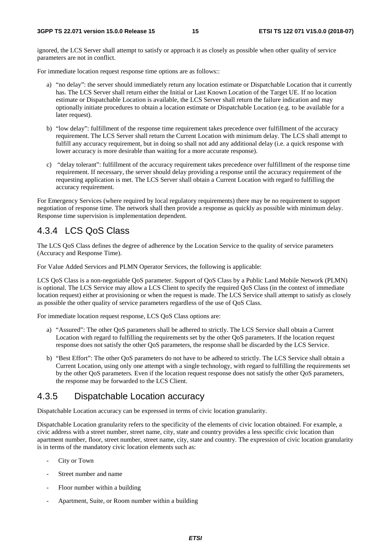ignored, the LCS Server shall attempt to satisfy or approach it as closely as possible when other quality of service parameters are not in conflict.

For immediate location request response time options are as follows::

- a) "no delay": the server should immediately return any location estimate or Dispatchable Location that it currently has. The LCS Server shall return either the Initial or Last Known Location of the Target UE. If no location estimate or Dispatchable Location is available, the LCS Server shall return the failure indication and may optionally initiate procedures to obtain a location estimate or Dispatchable Location (e.g. to be available for a later request).
- b) "low delay": fulfillment of the response time requirement takes precedence over fulfillment of the accuracy requirement. The LCS Server shall return the Current Location with minimum delay. The LCS shall attempt to fulfill any accuracy requirement, but in doing so shall not add any additional delay (i.e. a quick response with lower accuracy is more desirable than waiting for a more accurate response).
- c) "delay tolerant": fulfillment of the accuracy requirement takes precedence over fulfillment of the response time requirement. If necessary, the server should delay providing a response until the accuracy requirement of the requesting application is met. The LCS Server shall obtain a Current Location with regard to fulfilling the accuracy requirement.

For Emergency Services (where required by local regulatory requirements) there may be no requirement to support negotiation of response time. The network shall then provide a response as quickly as possible with minimum delay. Response time supervision is implementation dependent.

#### 4.3.4 LCS QoS Class

The LCS QoS Class defines the degree of adherence by the Location Service to the quality of service parameters (Accuracy and Response Time).

For Value Added Services and PLMN Operator Services, the following is applicable:

LCS QoS Class is a non-negotiable QoS parameter. Support of QoS Class by a Public Land Mobile Network (PLMN) is optional. The LCS Service may allow a LCS Client to specify the required QoS Class (in the context of immediate location request) either at provisioning or when the request is made. The LCS Service shall attempt to satisfy as closely as possible the other quality of service parameters regardless of the use of QoS Class.

For immediate location request response, LCS QoS Class options are:

- a) "Assured": The other QoS parameters shall be adhered to strictly. The LCS Service shall obtain a Current Location with regard to fulfilling the requirements set by the other QoS parameters. If the location request response does not satisfy the other QoS parameters, the response shall be discarded by the LCS Service.
- b) "Best Effort": The other QoS parameters do not have to be adhered to strictly. The LCS Service shall obtain a Current Location, using only one attempt with a single technology, with regard to fulfilling the requirements set by the other QoS parameters. Even if the location request response does not satisfy the other QoS parameters, the response may be forwarded to the LCS Client.

#### 4.3.5 Dispatchable Location accuracy

Dispatchable Location accuracy can be expressed in terms of civic location granularity.

Dispatchable Location granularity refers to the specificity of the elements of civic location obtained. For example, a civic address with a street number, street name, city, state and country provides a less specific civic location than apartment number, floor, street number, street name, city, state and country. The expression of civic location granularity is in terms of the mandatory civic location elements such as:

- City or Town
- Street number and name
- Floor number within a building
- Apartment, Suite, or Room number within a building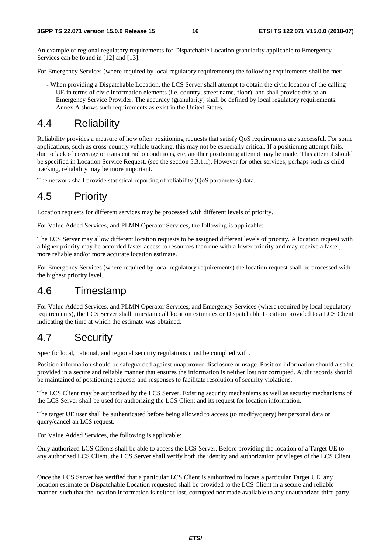An example of regional regulatory requirements for Dispatchable Location granularity applicable to Emergency Services can be found in [12] and [13].

For Emergency Services (where required by local regulatory requirements) the following requirements shall be met:

- When providing a Dispatchable Location, the LCS Server shall attempt to obtain the civic location of the calling UE in terms of civic information elements (i.e. country, street name, floor), and shall provide this to an Emergency Service Provider. The accuracy (granularity) shall be defined by local regulatory requirements. Annex A shows such requirements as exist in the United States.

## 4.4 Reliability

Reliability provides a measure of how often positioning requests that satisfy QoS requirements are successful. For some applications, such as cross-country vehicle tracking, this may not be especially critical. If a positioning attempt fails, due to lack of coverage or transient radio conditions, etc, another positioning attempt may be made. This attempt should be specified in Location Service Request. (see the section 5.3.1.1). However for other services, perhaps such as child tracking, reliability may be more important.

The network shall provide statistical reporting of reliability (QoS parameters) data.

# 4.5 Priority

Location requests for different services may be processed with different levels of priority.

For Value Added Services, and PLMN Operator Services, the following is applicable:

The LCS Server may allow different location requests to be assigned different levels of priority. A location request with a higher priority may be accorded faster access to resources than one with a lower priority and may receive a faster, more reliable and/or more accurate location estimate.

For Emergency Services (where required by local regulatory requirements) the location request shall be processed with the highest priority level.

## 4.6 Timestamp

For Value Added Services, and PLMN Operator Services, and Emergency Services (where required by local regulatory requirements), the LCS Server shall timestamp all location estimates or Dispatchable Location provided to a LCS Client indicating the time at which the estimate was obtained.

# 4.7 Security

.

Specific local, national, and regional security regulations must be complied with.

Position information should be safeguarded against unapproved disclosure or usage. Position information should also be provided in a secure and reliable manner that ensures the information is neither lost nor corrupted. Audit records should be maintained of positioning requests and responses to facilitate resolution of security violations.

The LCS Client may be authorized by the LCS Server. Existing security mechanisms as well as security mechanisms of the LCS Server shall be used for authorizing the LCS Client and its request for location information.

The target UE user shall be authenticated before being allowed to access (to modify/query) her personal data or query/cancel an LCS request.

For Value Added Services, the following is applicable:

Only authorized LCS Clients shall be able to access the LCS Server. Before providing the location of a Target UE to any authorized LCS Client, the LCS Server shall verify both the identity and authorization privileges of the LCS Client

Once the LCS Server has verified that a particular LCS Client is authorized to locate a particular Target UE, any location estimate or Dispatchable Location requested shall be provided to the LCS Client in a secure and reliable manner, such that the location information is neither lost, corrupted nor made available to any unauthorized third party.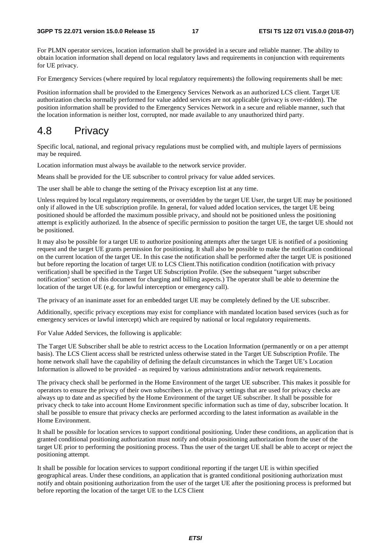For PLMN operator services, location information shall be provided in a secure and reliable manner. The ability to obtain location information shall depend on local regulatory laws and requirements in conjunction with requirements for UE privacy.

For Emergency Services (where required by local regulatory requirements) the following requirements shall be met:

Position information shall be provided to the Emergency Services Network as an authorized LCS client. Target UE authorization checks normally performed for value added services are not applicable (privacy is over-ridden). The position information shall be provided to the Emergency Services Network in a secure and reliable manner, such that the location information is neither lost, corrupted, nor made available to any unauthorized third party.

## 4.8 Privacy

Specific local, national, and regional privacy regulations must be complied with, and multiple layers of permissions may be required.

Location information must always be available to the network service provider.

Means shall be provided for the UE subscriber to control privacy for value added services.

The user shall be able to change the setting of the Privacy exception list at any time.

Unless required by local regulatory requirements, or overridden by the target UE User, the target UE may be positioned only if allowed in the UE subscription profile. In general, for valued added location services, the target UE being positioned should be afforded the maximum possible privacy, and should not be positioned unless the positioning attempt is explicitly authorized. In the absence of specific permission to position the target UE, the target UE should not be positioned.

It may also be possible for a target UE to authorize positioning attempts after the target UE is notified of a positioning request and the target UE grants permission for positioning. It shall also be possible to make the notification conditional on the current location of the target UE. In this case the notification shall be performed after the target UE is positioned but before reporting the location of target UE to LCS Client.This notification condition (notification with privacy verification) shall be specified in the Target UE Subscription Profile. (See the subsequent "target subscriber notification" section of this document for charging and billing aspects.) The operator shall be able to determine the location of the target UE (e.g. for lawful interception or emergency call).

The privacy of an inanimate asset for an embedded target UE may be completely defined by the UE subscriber.

Additionally, specific privacy exceptions may exist for compliance with mandated location based services (such as for emergency services or lawful intercept) which are required by national or local regulatory requirements.

For Value Added Services, the following is applicable:

The Target UE Subscriber shall be able to restrict access to the Location Information (permanently or on a per attempt basis). The LCS Client access shall be restricted unless otherwise stated in the Target UE Subscription Profile. The home network shall have the capability of defining the default circumstances in which the Target UE's Location Information is allowed to be provided - as required by various administrations and/or network requirements.

The privacy check shall be performed in the Home Environment of the target UE subscriber. This makes it possible for operators to ensure the privacy of their own subscribers i.e. the privacy settings that are used for privacy checks are always up to date and as specified by the Home Environment of the target UE subscriber. It shall be possible for privacy check to take into account Home Environment specific information such as time of day, subscriber location. It shall be possible to ensure that privacy checks are performed according to the latest information as available in the Home Environment.

It shall be possible for location services to support conditional positioning. Under these conditions, an application that is granted conditional positioning authorization must notify and obtain positioning authorization from the user of the target UE prior to performing the positioning process. Thus the user of the target UE shall be able to accept or reject the positioning attempt.

It shall be possible for location services to support conditional reporting if the target UE is within specified geographical areas. Under these conditions, an application that is granted conditional positioning authorization must notify and obtain positioning authorization from the user of the target UE after the positioning process is preformed but before reporting the location of the target UE to the LCS Client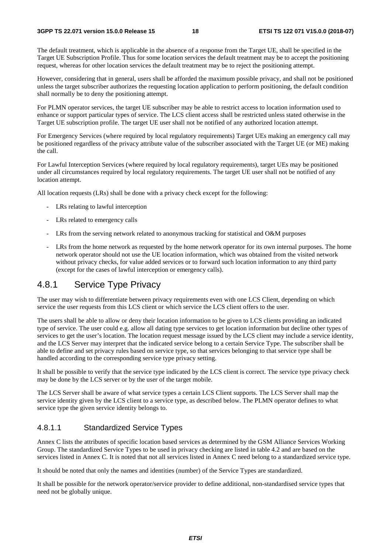The default treatment, which is applicable in the absence of a response from the Target UE, shall be specified in the Target UE Subscription Profile. Thus for some location services the default treatment may be to accept the positioning request, whereas for other location services the default treatment may be to reject the positioning attempt.

However, considering that in general, users shall be afforded the maximum possible privacy, and shall not be positioned unless the target subscriber authorizes the requesting location application to perform positioning, the default condition shall normally be to deny the positioning attempt.

For PLMN operator services, the target UE subscriber may be able to restrict access to location information used to enhance or support particular types of service. The LCS client access shall be restricted unless stated otherwise in the Target UE subscription profile. The target UE user shall not be notified of any authorized location attempt.

For Emergency Services (where required by local regulatory requirements) Target UEs making an emergency call may be positioned regardless of the privacy attribute value of the subscriber associated with the Target UE (or ME) making the call.

For Lawful Interception Services (where required by local regulatory requirements), target UEs may be positioned under all circumstances required by local regulatory requirements. The target UE user shall not be notified of any location attempt.

All location requests (LRs) shall be done with a privacy check except for the following:

- LRs relating to lawful interception
- LRs related to emergency calls
- LRs from the serving network related to anonymous tracking for statistical and O&M purposes
- LRs from the home network as requested by the home network operator for its own internal purposes. The home network operator should not use the UE location information, which was obtained from the visited network without privacy checks, for value added services or to forward such location information to any third party (except for the cases of lawful interception or emergency calls).

#### 4.8.1 Service Type Privacy

The user may wish to differentiate between privacy requirements even with one LCS Client, depending on which service the user requests from this LCS client or which service the LCS client offers to the user.

The users shall be able to allow or deny their location information to be given to LCS clients providing an indicated type of service. The user could e.g. allow all dating type services to get location information but decline other types of services to get the user's location. The location request message issued by the LCS client may include a service identity, and the LCS Server may interpret that the indicated service belong to a certain Service Type. The subscriber shall be able to define and set privacy rules based on service type, so that services belonging to that service type shall be handled according to the corresponding service type privacy setting.

It shall be possible to verify that the service type indicated by the LCS client is correct. The service type privacy check may be done by the LCS server or by the user of the target mobile.

The LCS Server shall be aware of what service types a certain LCS Client supports. The LCS Server shall map the service identity given by the LCS client to a service type, as described below. The PLMN operator defines to what service type the given service identity belongs to.

#### 4.8.1.1 Standardized Service Types

Annex C lists the attributes of specific location based services as determined by the GSM Alliance Services Working Group. The standardized Service Types to be used in privacy checking are listed in table 4.2 and are based on the services listed in Annex C. It is noted that not all services listed in Annex C need belong to a standardized service type.

It should be noted that only the names and identities (number) of the Service Types are standardized.

It shall be possible for the network operator/service provider to define additional, non-standardised service types that need not be globally unique.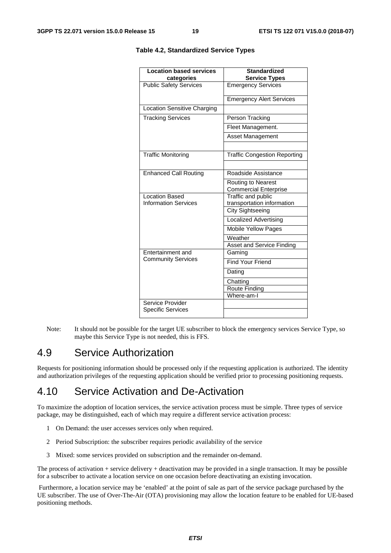| <b>Location based services</b>               | <b>Standardized</b>                                       |  |
|----------------------------------------------|-----------------------------------------------------------|--|
| categories                                   | <b>Service Types</b>                                      |  |
| <b>Public Safety Services</b>                | <b>Emergency Services</b>                                 |  |
|                                              | <b>Emergency Alert Services</b>                           |  |
| <b>Location Sensitive Charging</b>           |                                                           |  |
| <b>Tracking Services</b>                     | Person Tracking                                           |  |
|                                              | Fleet Management.                                         |  |
|                                              | <b>Asset Management</b>                                   |  |
| <b>Traffic Monitoring</b>                    | <b>Traffic Congestion Reporting</b>                       |  |
| <b>Enhanced Call Routing</b>                 | Roadside Assistance                                       |  |
|                                              | <b>Routing to Nearest</b><br><b>Commercial Enterprise</b> |  |
| <b>Location Based</b>                        | Traffic and public                                        |  |
| <b>Information Services</b>                  | transportation information                                |  |
|                                              | <b>City Sightseeing</b>                                   |  |
|                                              | Localized Advertising                                     |  |
|                                              | <b>Mobile Yellow Pages</b>                                |  |
|                                              | Weather                                                   |  |
|                                              | Asset and Service Finding                                 |  |
| Entertainment and                            | Gaming                                                    |  |
| <b>Community Services</b>                    | Find Your Friend                                          |  |
|                                              | Dating                                                    |  |
|                                              | Chatting                                                  |  |
|                                              | Route Finding                                             |  |
|                                              | Where-am-I                                                |  |
| Service Provider<br><b>Specific Services</b> |                                                           |  |
|                                              |                                                           |  |

#### **Table 4.2, Standardized Service Types**

Note: It should not be possible for the target UE subscriber to block the emergency services Service Type, so maybe this Service Type is not needed, this is FFS.

## 4.9 Service Authorization

Requests for positioning information should be processed only if the requesting application is authorized. The identity and authorization privileges of the requesting application should be verified prior to processing positioning requests.

### 4.10 Service Activation and De-Activation

To maximize the adoption of location services, the service activation process must be simple. Three types of service package, may be distinguished, each of which may require a different service activation process:

- 1 On Demand: the user accesses services only when required.
- 2 Period Subscription: the subscriber requires periodic availability of the service
- 3 Mixed: some services provided on subscription and the remainder on-demand.

The process of activation + service delivery + deactivation may be provided in a single transaction. It may be possible for a subscriber to activate a location service on one occasion before deactivating an existing invocation.

 Furthermore, a location service may be 'enabled' at the point of sale as part of the service package purchased by the UE subscriber. The use of Over-The-Air (OTA) provisioning may allow the location feature to be enabled for UE-based positioning methods.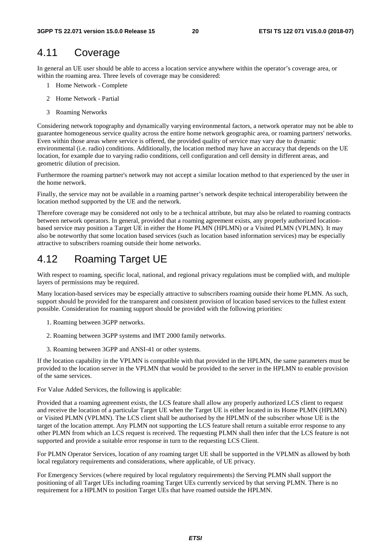### 4.11 Coverage

In general an UE user should be able to access a location service anywhere within the operator's coverage area, or within the roaming area. Three levels of coverage may be considered:

- 1 Home Network Complete
- 2 Home Network Partial
- 3 Roaming Networks

Considering network topography and dynamically varying environmental factors, a network operator may not be able to guarantee homogeneous service quality across the entire home network geographic area, or roaming partners' networks. Even within those areas where service is offered, the provided quality of service may vary due to dynamic environmental (i.e. radio) conditions. Additionally, the location method may have an accuracy that depends on the UE location, for example due to varying radio conditions, cell configuration and cell density in different areas, and geometric dilution of precision.

Furthermore the roaming partner's network may not accept a similar location method to that experienced by the user in the home network.

Finally, the service may not be available in a roaming partner's network despite technical interoperability between the location method supported by the UE and the network.

Therefore coverage may be considered not only to be a technical attribute, but may also be related to roaming contracts between network operators. In general, provided that a roaming agreement exists, any properly authorized locationbased service may position a Target UE in either the Home PLMN (HPLMN) or a Visited PLMN (VPLMN). It may also be noteworthy that some location based services (such as location based information services) may be especially attractive to subscribers roaming outside their home networks.

## 4.12 Roaming Target UE

With respect to roaming, specific local, national, and regional privacy regulations must be complied with, and multiple layers of permissions may be required.

Many location-based services may be especially attractive to subscribers roaming outside their home PLMN. As such, support should be provided for the transparent and consistent provision of location based services to the fullest extent possible. Consideration for roaming support should be provided with the following priorities:

- 1. Roaming between 3GPP networks.
- 2. Roaming between 3GPP systems and IMT 2000 family networks.
- 3. Roaming between 3GPP and ANSI-41 or other systems.

If the location capability in the VPLMN is compatible with that provided in the HPLMN, the same parameters must be provided to the location server in the VPLMN that would be provided to the server in the HPLMN to enable provision of the same services.

For Value Added Services, the following is applicable:

Provided that a roaming agreement exists, the LCS feature shall allow any properly authorized LCS client to request and receive the location of a particular Target UE when the Target UE is either located in its Home PLMN (HPLMN) or Visited PLMN (VPLMN). The LCS client shall be authorised by the HPLMN of the subscriber whose UE is the target of the location attempt. Any PLMN not supporting the LCS feature shall return a suitable error response to any other PLMN from which an LCS request is received. The requesting PLMN shall then infer that the LCS feature is not supported and provide a suitable error response in turn to the requesting LCS Client.

For PLMN Operator Services, location of any roaming target UE shall be supported in the VPLMN as allowed by both local regulatory requirements and considerations, where applicable, of UE privacy.

For Emergency Services (where required by local regulatory requirements) the Serving PLMN shall support the positioning of all Target UEs including roaming Target UEs currently serviced by that serving PLMN. There is no requirement for a HPLMN to position Target UEs that have roamed outside the HPLMN.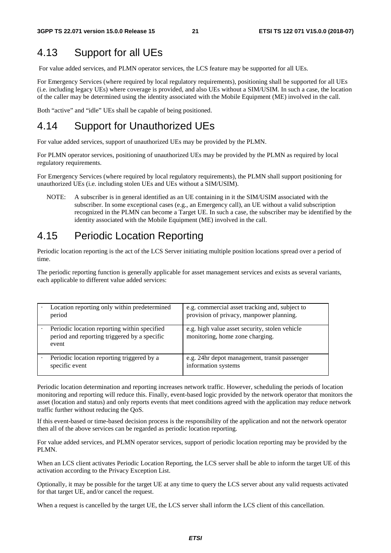## 4.13 Support for all UEs

For value added services, and PLMN operator services, the LCS feature may be supported for all UEs.

For Emergency Services (where required by local regulatory requirements), positioning shall be supported for all UEs (i.e. including legacy UEs) where coverage is provided, and also UEs without a SIM/USIM. In such a case, the location of the caller may be determined using the identity associated with the Mobile Equipment (ME) involved in the call.

Both "active" and "idle" UEs shall be capable of being positioned.

## 4.14 Support for Unauthorized UEs

For value added services, support of unauthorized UEs may be provided by the PLMN.

For PLMN operator services, positioning of unauthorized UEs may be provided by the PLMN as required by local regulatory requirements.

For Emergency Services (where required by local regulatory requirements), the PLMN shall support positioning for unauthorized UEs (i.e. including stolen UEs and UEs without a SIM/USIM).

NOTE: A subscriber is in general identified as an UE containing in it the SIM/USIM associated with the subscriber. In some exceptional cases (e.g., an Emergency call), an UE without a valid subscription recognized in the PLMN can become a Target UE. In such a case, the subscriber may be identified by the identity associated with the Mobile Equipment (ME) involved in the call.

## 4.15 Periodic Location Reporting

Periodic location reporting is the act of the LCS Server initiating multiple position locations spread over a period of time.

The periodic reporting function is generally applicable for asset management services and exists as several variants, each applicable to different value added services:

| Location reporting only within predetermined<br>period                                                | e.g. commercial asset tracking and, subject to<br>provision of privacy, manpower planning. |
|-------------------------------------------------------------------------------------------------------|--------------------------------------------------------------------------------------------|
| Periodic location reporting within specified<br>period and reporting triggered by a specific<br>event | e.g. high value asset security, stolen vehicle<br>monitoring, home zone charging.          |
| Periodic location reporting triggered by a<br>specific event                                          | e.g. 24hr depot management, transit passenger<br>information systems                       |

Periodic location determination and reporting increases network traffic. However, scheduling the periods of location monitoring and reporting will reduce this. Finally, event-based logic provided by the network operator that monitors the asset (location and status) and only reports events that meet conditions agreed with the application may reduce network traffic further without reducing the QoS.

If this event-based or time-based decision process is the responsibility of the application and not the network operator then all of the above services can be regarded as periodic location reporting.

For value added services, and PLMN operator services, support of periodic location reporting may be provided by the PLMN.

When an LCS client activates Periodic Location Reporting, the LCS server shall be able to inform the target UE of this activation according to the Privacy Exception List.

Optionally, it may be possible for the target UE at any time to query the LCS server about any valid requests activated for that target UE, and/or cancel the request.

When a request is cancelled by the target UE, the LCS server shall inform the LCS client of this cancellation.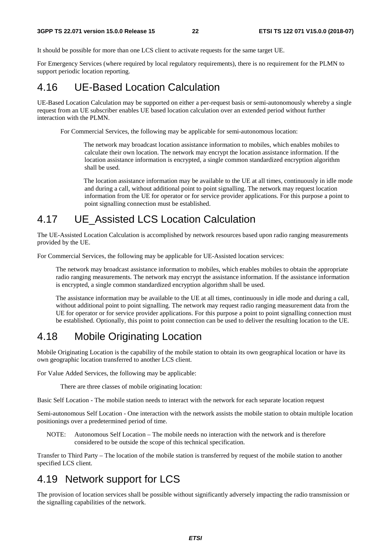It should be possible for more than one LCS client to activate requests for the same target UE.

For Emergency Services (where required by local regulatory requirements), there is no requirement for the PLMN to support periodic location reporting.

## 4.16 UE-Based Location Calculation

UE-Based Location Calculation may be supported on either a per-request basis or semi-autonomously whereby a single request from an UE subscriber enables UE based location calculation over an extended period without further interaction with the PLMN.

For Commercial Services, the following may be applicable for semi-autonomous location:

The network may broadcast location assistance information to mobiles, which enables mobiles to calculate their own location. The network may encrypt the location assistance information. If the location assistance information is encrypted, a single common standardized encryption algorithm shall be used.

The location assistance information may be available to the UE at all times, continuously in idle mode and during a call, without additional point to point signalling. The network may request location information from the UE for operator or for service provider applications. For this purpose a point to point signalling connection must be established.

## 4.17 UE\_Assisted LCS Location Calculation

The UE-Assisted Location Calculation is accomplished by network resources based upon radio ranging measurements provided by the UE.

For Commercial Services, the following may be applicable for UE-Assisted location services:

The network may broadcast assistance information to mobiles, which enables mobiles to obtain the appropriate radio ranging measurements. The network may encrypt the assistance information. If the assistance information is encrypted, a single common standardized encryption algorithm shall be used.

The assistance information may be available to the UE at all times, continuously in idle mode and during a call, without additional point to point signalling. The network may request radio ranging measurement data from the UE for operator or for service provider applications. For this purpose a point to point signalling connection must be established. Optionally, this point to point connection can be used to deliver the resulting location to the UE.

## 4.18 Mobile Originating Location

Mobile Originating Location is the capability of the mobile station to obtain its own geographical location or have its own geographic location transferred to another LCS client.

For Value Added Services, the following may be applicable:

There are three classes of mobile originating location:

Basic Self Location - The mobile station needs to interact with the network for each separate location request

Semi-autonomous Self Location - One interaction with the network assists the mobile station to obtain multiple location positionings over a predetermined period of time.

NOTE: Autonomous Self Location – The mobile needs no interaction with the network and is therefore considered to be outside the scope of this technical specification.

Transfer to Third Party – The location of the mobile station is transferred by request of the mobile station to another specified LCS client.

## 4.19 Network support for LCS

The provision of location services shall be possible without significantly adversely impacting the radio transmission or the signalling capabilities of the network.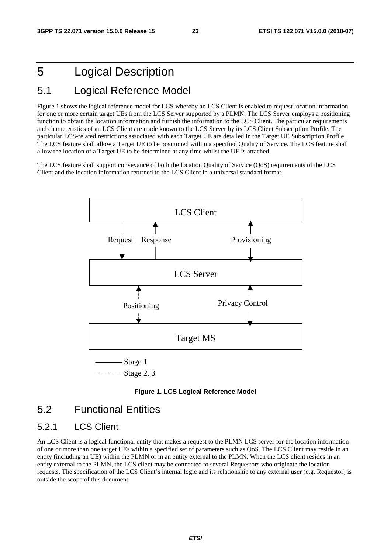# 5 Logical Description

## 5.1 Logical Reference Model

Figure 1 shows the logical reference model for LCS whereby an LCS Client is enabled to request location information for one or more certain target UEs from the LCS Server supported by a PLMN. The LCS Server employs a positioning function to obtain the location information and furnish the information to the LCS Client. The particular requirements and characteristics of an LCS Client are made known to the LCS Server by its LCS Client Subscription Profile. The particular LCS-related restrictions associated with each Target UE are detailed in the Target UE Subscription Profile. The LCS feature shall allow a Target UE to be positioned within a specified Quality of Service. The LCS feature shall allow the location of a Target UE to be determined at any time whilst the UE is attached.

The LCS feature shall support conveyance of both the location Quality of Service (QoS) requirements of the LCS Client and the location information returned to the LCS Client in a universal standard format.





## 5.2 Functional Entities

#### 5.2.1 LCS Client

An LCS Client is a logical functional entity that makes a request to the PLMN LCS server for the location information of one or more than one target UEs within a specified set of parameters such as QoS. The LCS Client may reside in an entity (including an UE) within the PLMN or in an entity external to the PLMN. When the LCS client resides in an entity external to the PLMN, the LCS client may be connected to several Requestors who originate the location requests. The specification of the LCS Client's internal logic and its relationship to any external user (e.g. Requestor) is outside the scope of this document.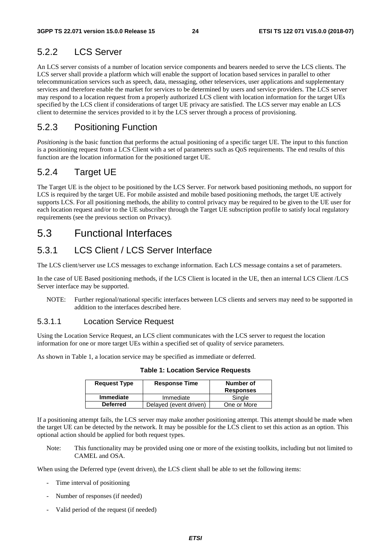## 5.2.2 LCS Server

An LCS server consists of a number of location service components and bearers needed to serve the LCS clients. The LCS server shall provide a platform which will enable the support of location based services in parallel to other telecommunication services such as speech, data, messaging, other teleservices, user applications and supplementary services and therefore enable the market for services to be determined by users and service providers. The LCS server may respond to a location request from a properly authorized LCS client with location information for the target UEs specified by the LCS client if considerations of target UE privacy are satisfied. The LCS server may enable an LCS client to determine the services provided to it by the LCS server through a process of provisioning.

#### 5.2.3 Positioning Function

*Positioning* is the basic function that performs the actual positioning of a specific target UE. The input to this function is a positioning request from a LCS Client with a set of parameters such as QoS requirements. The end results of this function are the location information for the positioned target UE.

#### 5.2.4 Target UE

The Target UE is the object to be positioned by the LCS Server. For network based positioning methods, no support for LCS is required by the target UE. For mobile assisted and mobile based positioning methods, the target UE actively supports LCS. For all positioning methods, the ability to control privacy may be required to be given to the UE user for each location request and/or to the UE subscriber through the Target UE subscription profile to satisfy local regulatory requirements (see the previous section on Privacy).

## 5.3 Functional Interfaces

#### 5.3.1 LCS Client / LCS Server Interface

The LCS client/server use LCS messages to exchange information. Each LCS message contains a set of parameters.

In the case of UE Based positioning methods, if the LCS Client is located in the UE, then an internal LCS Client /LCS Server interface may be supported.

NOTE: Further regional/national specific interfaces between LCS clients and servers may need to be supported in addition to the interfaces described here.

#### 5.3.1.1 Location Service Request

Using the Location Service Request, an LCS client communicates with the LCS server to request the location information for one or more target UEs within a specified set of quality of service parameters.

As shown in Table 1, a location service may be specified as immediate or deferred.

| <b>Request Type</b> | <b>Response Time</b>   | Number of<br><b>Responses</b> |
|---------------------|------------------------|-------------------------------|
| <b>Immediate</b>    | Immediate              | Single                        |
| <b>Deferred</b>     | Delayed (event driven) | One or More                   |

**Table 1: Location Service Requests** 

If a positioning attempt fails, the LCS server may make another positioning attempt. This attempt should be made when the target UE can be detected by the network. It may be possible for the LCS client to set this action as an option. This optional action should be applied for both request types.

Note: This functionality may be provided using one or more of the existing toolkits, including but not limited to CAMEL and OSA.

When using the Deferred type (event driven), the LCS client shall be able to set the following items:

- Time interval of positioning
- Number of responses (if needed)
- Valid period of the request (if needed)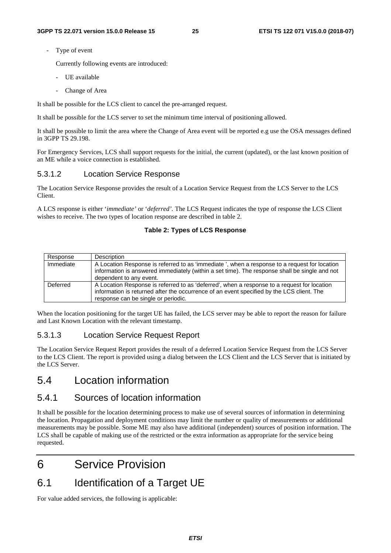Type of event

Currently following events are introduced:

- UE available
	- Change of Area

It shall be possible for the LCS client to cancel the pre-arranged request.

It shall be possible for the LCS server to set the minimum time interval of positioning allowed.

It shall be possible to limit the area where the Change of Area event will be reported e.g use the OSA messages defined in 3GPP TS 29.198.

For Emergency Services, LCS shall support requests for the initial, the current (updated), or the last known position of an ME while a voice connection is established.

#### 5.3.1.2 Location Service Response

The Location Service Response provides the result of a Location Service Request from the LCS Server to the LCS Client.

A LCS response is either '*immediate'* or '*deferred'.* The LCS Request indicates the type of response the LCS Client wishes to receive. The two types of location response are described in table 2.

#### **Table 2: Types of LCS Response**

| Response  | Description                                                                                                                                                                                                                     |
|-----------|---------------------------------------------------------------------------------------------------------------------------------------------------------------------------------------------------------------------------------|
| Immediate | A Location Response is referred to as 'immediate', when a response to a request for location<br>information is answered immediately (within a set time). The response shall be single and not<br>dependent to any event.        |
| Deferred  | A Location Response is referred to as 'deferred', when a response to a request for location<br>information is returned after the occurrence of an event specified by the LCS client. The<br>response can be single or periodic. |

When the location positioning for the target UE has failed, the LCS server may be able to report the reason for failure and Last Known Location with the relevant timestamp.

#### 5.3.1.3 Location Service Request Report

The Location Service Request Report provides the result of a deferred Location Service Request from the LCS Server to the LCS Client. The report is provided using a dialog between the LCS Client and the LCS Server that is initiated by the LCS Server.

## 5.4 Location information

#### 5.4.1 Sources of location information

It shall be possible for the location determining process to make use of several sources of information in determining the location. Propagation and deployment conditions may limit the number or quality of measurements or additional measurements may be possible. Some ME may also have additional (independent) sources of position information. The LCS shall be capable of making use of the restricted or the extra information as appropriate for the service being requested.

# 6 Service Provision

## 6.1 Identification of a Target UE

For value added services, the following is applicable: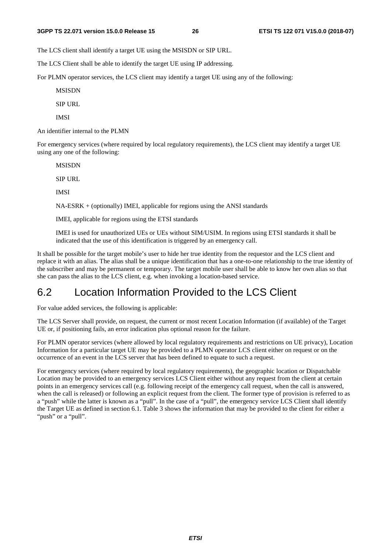The LCS client shall identify a target UE using the MSISDN or SIP URL.

The LCS Client shall be able to identify the target UE using IP addressing.

For PLMN operator services, the LCS client may identify a target UE using any of the following:

MSISDN

SIP URL

IMSI

An identifier internal to the PLMN

For emergency services (where required by local regulatory requirements), the LCS client may identify a target UE using any one of the following:

MSISDN

SIP URL

IMSI

NA-ESRK + (optionally) IMEI, applicable for regions using the ANSI standards

IMEI, applicable for regions using the ETSI standards

IMEI is used for unauthorized UEs or UEs without SIM/USIM. In regions using ETSI standards it shall be indicated that the use of this identification is triggered by an emergency call.

It shall be possible for the target mobile's user to hide her true identity from the requestor and the LCS client and replace it with an alias. The alias shall be a unique identification that has a one-to-one relationship to the true identity of the subscriber and may be permanent or temporary. The target mobile user shall be able to know her own alias so that she can pass the alias to the LCS client, e.g. when invoking a location-based service.

## 6.2 Location Information Provided to the LCS Client

For value added services, the following is applicable:

The LCS Server shall provide, on request, the current or most recent Location Information (if available) of the Target UE or, if positioning fails, an error indication plus optional reason for the failure.

For PLMN operator services (where allowed by local regulatory requirements and restrictions on UE privacy), Location Information for a particular target UE may be provided to a PLMN operator LCS client either on request or on the occurrence of an event in the LCS server that has been defined to equate to such a request.

For emergency services (where required by local regulatory requirements), the geographic location or Dispatchable Location may be provided to an emergency services LCS Client either without any request from the client at certain points in an emergency services call (e.g. following receipt of the emergency call request, when the call is answered, when the call is released) or following an explicit request from the client. The former type of provision is referred to as a "push" while the latter is known as a "pull". In the case of a "pull", the emergency service LCS Client shall identify the Target UE as defined in section 6.1. Table 3 shows the information that may be provided to the client for either a "push" or a "pull".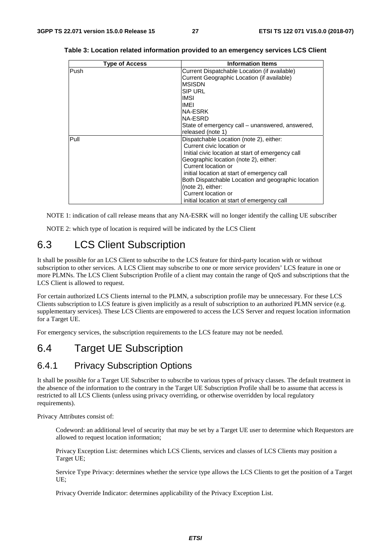| <b>Type of Access</b> | <b>Information Items</b>                           |  |
|-----------------------|----------------------------------------------------|--|
| Push                  | Current Dispatchable Location (if available)       |  |
|                       | Current Geographic Location (if available)         |  |
|                       | <b>MSISDN</b>                                      |  |
|                       | <b>SIP URL</b>                                     |  |
|                       | IMSI                                               |  |
|                       | <b>IMEI</b>                                        |  |
|                       | <b>NA-ESRK</b>                                     |  |
|                       | NA-ESRD                                            |  |
|                       | State of emergency call – unanswered, answered,    |  |
|                       | released (note 1)                                  |  |
| Pull                  | Dispatchable Location (note 2), either:            |  |
|                       | Current civic location or                          |  |
|                       | Initial civic location at start of emergency call  |  |
|                       | Geographic location (note 2), either:              |  |
|                       | Current location or                                |  |
|                       | initial location at start of emergency call        |  |
|                       | Both Dispatchable Location and geographic location |  |
|                       | (note 2), either:                                  |  |
|                       | Current location or                                |  |
|                       | initial location at start of emergency call        |  |

| Table 3: Location related information provided to an emergency services LCS Client |  |  |
|------------------------------------------------------------------------------------|--|--|
|------------------------------------------------------------------------------------|--|--|

NOTE 1: indication of call release means that any NA-ESRK will no longer identify the calling UE subscriber

NOTE 2: which type of location is required will be indicated by the LCS Client

## 6.3 LCS Client Subscription

It shall be possible for an LCS Client to subscribe to the LCS feature for third-party location with or without subscription to other services. A LCS Client may subscribe to one or more service providers' LCS feature in one or more PLMNs. The LCS Client Subscription Profile of a client may contain the range of QoS and subscriptions that the LCS Client is allowed to request.

For certain authorized LCS Clients internal to the PLMN, a subscription profile may be unnecessary. For these LCS Clients subscription to LCS feature is given implicitly as a result of subscription to an authorized PLMN service (e.g. supplementary services). These LCS Clients are empowered to access the LCS Server and request location information for a Target UE.

For emergency services, the subscription requirements to the LCS feature may not be needed.

### 6.4 Target UE Subscription

#### 6.4.1 Privacy Subscription Options

It shall be possible for a Target UE Subscriber to subscribe to various types of privacy classes. The default treatment in the absence of the information to the contrary in the Target UE Subscription Profile shall be to assume that access is restricted to all LCS Clients (unless using privacy overriding, or otherwise overridden by local regulatory requirements).

Privacy Attributes consist of:

Codeword: an additional level of security that may be set by a Target UE user to determine which Requestors are allowed to request location information;

Privacy Exception List: determines which LCS Clients, services and classes of LCS Clients may position a Target UE;

Service Type Privacy: determines whether the service type allows the LCS Clients to get the position of a Target UE;

Privacy Override Indicator: determines applicability of the Privacy Exception List.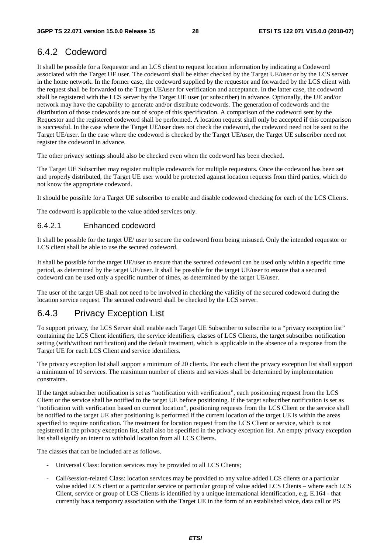#### 6.4.2 Codeword

It shall be possible for a Requestor and an LCS client to request location information by indicating a Codeword associated with the Target UE user. The codeword shall be either checked by the Target UE/user or by the LCS server in the home network. In the former case, the codeword supplied by the requestor and forwarded by the LCS client with the request shall be forwarded to the Target UE/user for verification and acceptance. In the latter case, the codeword shall be registered with the LCS server by the Target UE user (or subscriber) in advance. Optionally, the UE and/or network may have the capability to generate and/or distribute codewords. The generation of codewords and the distribution of those codewords are out of scope of this specification. A comparison of the codeword sent by the Requestor and the registered codeword shall be performed. A location request shall only be accepted if this comparison is successful. In the case where the Target UE/user does not check the codeword, the codeword need not be sent to the Target UE/user. In the case where the codeword is checked by the Target UE/user, the Target UE subscriber need not register the codeword in advance.

The other privacy settings should also be checked even when the codeword has been checked.

The Target UE Subscriber may register multiple codewords for multiple requestors. Once the codeword has been set and properly distributed, the Target UE user would be protected against location requests from third parties, which do not know the appropriate codeword.

It should be possible for a Target UE subscriber to enable and disable codeword checking for each of the LCS Clients.

The codeword is applicable to the value added services only.

#### 6.4.2.1 Enhanced codeword

It shall be possible for the target UE/ user to secure the codeword from being misused. Only the intended requestor or LCS client shall be able to use the secured codeword.

It shall be possible for the target UE/user to ensure that the secured codeword can be used only within a specific time period, as determined by the target UE/user. It shall be possible for the target UE/user to ensure that a secured codeword can be used only a specific number of times, as determined by the target UE/user.

The user of the target UE shall not need to be involved in checking the validity of the secured codeword during the location service request. The secured codeword shall be checked by the LCS server.

#### 6.4.3 Privacy Exception List

To support privacy, the LCS Server shall enable each Target UE Subscriber to subscribe to a "privacy exception list" containing the LCS Client identifiers, the service identifiers, classes of LCS Clients, the target subscriber notification setting (with/without notification) and the default treatment, which is applicable in the absence of a response from the Target UE for each LCS Client and service identifiers.

The privacy exception list shall support a minimum of 20 clients. For each client the privacy exception list shall support a minimum of 10 services. The maximum number of clients and services shall be determined by implementation constraints.

If the target subscriber notification is set as "notification with verification", each positioning request from the LCS Client or the service shall be notified to the target UE before positioning. If the target subscriber notification is set as "notification with verification based on current location", positioning requests from the LCS Client or the service shall be notified to the target UE after positioning is performed if the current location of the target UE is within the areas specified to require notification. The treatment for location request from the LCS Client or service, which is not registered in the privacy exception list, shall also be specified in the privacy exception list. An empty privacy exception list shall signify an intent to withhold location from all LCS Clients.

The classes that can be included are as follows.

- Universal Class: location services may be provided to all LCS Clients;
- Call/session-related Class: location services may be provided to any value added LCS clients or a particular value added LCS client or a particular service or particular group of value added LCS Clients – where each LCS Client, service or group of LCS Clients is identified by a unique international identification, e.g. E.164 - that currently has a temporary association with the Target UE in the form of an established voice, data call or PS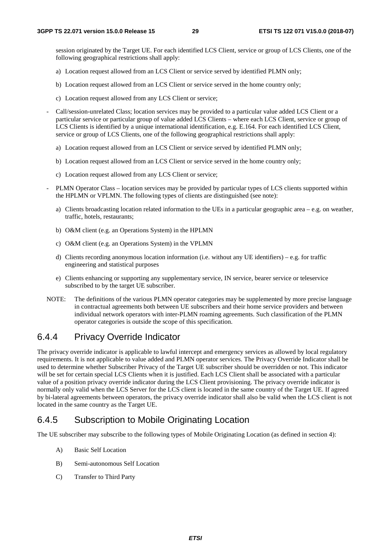session originated by the Target UE. For each identified LCS Client, service or group of LCS Clients, one of the following geographical restrictions shall apply:

- a) Location request allowed from an LCS Client or service served by identified PLMN only;
- b) Location request allowed from an LCS Client or service served in the home country only;
- c) Location request allowed from any LCS Client or service;
- Call/session-unrelated Class; location services may be provided to a particular value added LCS Client or a particular service or particular group of value added LCS Clients – where each LCS Client, service or group of LCS Clients is identified by a unique international identification, e.g. E.164. For each identified LCS Client, service or group of LCS Clients, one of the following geographical restrictions shall apply:
	- a) Location request allowed from an LCS Client or service served by identified PLMN only;
	- b) Location request allowed from an LCS Client or service served in the home country only;
	- c) Location request allowed from any LCS Client or service;
- PLMN Operator Class location services may be provided by particular types of LCS clients supported within the HPLMN or VPLMN. The following types of clients are distinguished (see note):
	- a) Clients broadcasting location related information to the UEs in a particular geographic area e.g. on weather, traffic, hotels, restaurants;
	- b) O&M client (e.g. an Operations System) in the HPLMN
	- c) O&M client (e.g. an Operations System) in the VPLMN
	- d) Clients recording anonymous location information (i.e. without any UE identifiers) e.g. for traffic engineering and statistical purposes
	- e) Clients enhancing or supporting any supplementary service, IN service, bearer service or teleservice subscribed to by the target UE subscriber.
- NOTE: The definitions of the various PLMN operator categories may be supplemented by more precise language in contractual agreements both between UE subscribers and their home service providers and between individual network operators with inter-PLMN roaming agreements. Such classification of the PLMN operator categories is outside the scope of this specification.

#### 6.4.4 Privacy Override Indicator

The privacy override indicator is applicable to lawful intercept and emergency services as allowed by local regulatory requirements. It is not applicable to value added and PLMN operator services. The Privacy Override Indicator shall be used to determine whether Subscriber Privacy of the Target UE subscriber should be overridden or not. This indicator will be set for certain special LCS Clients when it is justified. Each LCS Client shall be associated with a particular value of a position privacy override indicator during the LCS Client provisioning. The privacy override indicator is normally only valid when the LCS Server for the LCS client is located in the same country of the Target UE. If agreed by bi-lateral agreements between operators, the privacy override indicator shall also be valid when the LCS client is not located in the same country as the Target UE.

#### 6.4.5 Subscription to Mobile Originating Location

The UE subscriber may subscribe to the following types of Mobile Originating Location (as defined in section 4):

- A) Basic Self Location
- B) Semi-autonomous Self Location
- C) Transfer to Third Party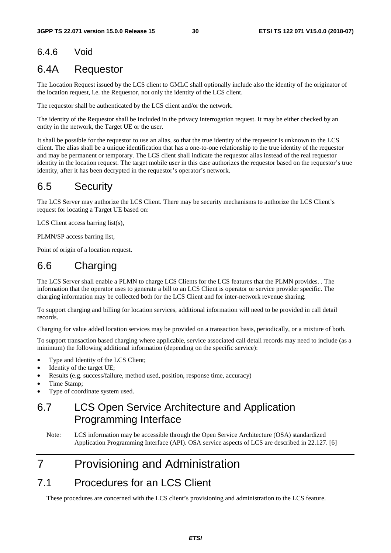#### 6.4.6 Void

## 6.4A Requestor

The Location Request issued by the LCS client to GMLC shall optionally include also the identity of the originator of the location request, i.e. the Requestor, not only the identity of the LCS client.

The requestor shall be authenticated by the LCS client and/or the network.

The identity of the Requestor shall be included in the privacy interrogation request. It may be either checked by an entity in the network, the Target UE or the user.

It shall be possible for the requestor to use an alias, so that the true identity of the requestor is unknown to the LCS client. The alias shall be a unique identification that has a one-to-one relationship to the true identity of the requestor and may be permanent or temporary. The LCS client shall indicate the requestor alias instead of the real requestor identity in the location request. The target mobile user in this case authorizes the requestor based on the requestor's true identity, after it has been decrypted in the requestor's operator's network.

## 6.5 Security

The LCS Server may authorize the LCS Client. There may be security mechanisms to authorize the LCS Client's request for locating a Target UE based on:

LCS Client access barring list(s),

PLMN/SP access barring list,

Point of origin of a location request.

# 6.6 Charging

The LCS Server shall enable a PLMN to charge LCS Clients for the LCS features that the PLMN provides. . The information that the operator uses to generate a bill to an LCS Client is operator or service provider specific. The charging information may be collected both for the LCS Client and for inter-network revenue sharing.

To support charging and billing for location services, additional information will need to be provided in call detail records.

Charging for value added location services may be provided on a transaction basis, periodically, or a mixture of both.

To support transaction based charging where applicable, service associated call detail records may need to include (as a minimum) the following additional information (depending on the specific service):

- Type and Identity of the LCS Client;
- Identity of the target UE;
- Results (e.g. success/failure, method used, position, response time, accuracy)
- Time Stamp;
- Type of coordinate system used.

# 6.7 LCS Open Service Architecture and Application Programming Interface

Note: LCS information may be accessible through the Open Service Architecture (OSA) standardized Application Programming Interface (API). OSA service aspects of LCS are described in 22.127. [6]

# 7 Provisioning and Administration

## 7.1 Procedures for an LCS Client

These procedures are concerned with the LCS client's provisioning and administration to the LCS feature.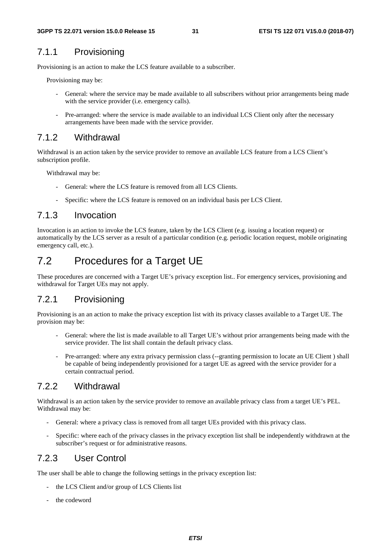#### 7.1.1 Provisioning

Provisioning is an action to make the LCS feature available to a subscriber.

Provisioning may be:

- General: where the service may be made available to all subscribers without prior arrangements being made with the service provider (i.e. emergency calls).
- Pre-arranged: where the service is made available to an individual LCS Client only after the necessary arrangements have been made with the service provider.

#### 7.1.2 Withdrawal

Withdrawal is an action taken by the service provider to remove an available LCS feature from a LCS Client's subscription profile.

Withdrawal may be:

- General: where the LCS feature is removed from all LCS Clients.
- Specific: where the LCS feature is removed on an individual basis per LCS Client.

#### 7.1.3 Invocation

Invocation is an action to invoke the LCS feature, taken by the LCS Client (e.g. issuing a location request) or automatically by the LCS server as a result of a particular condition (e.g. periodic location request, mobile originating emergency call, etc.).

## 7.2 Procedures for a Target UE

These procedures are concerned with a Target UE's privacy exception list.. For emergency services, provisioning and withdrawal for Target UEs may not apply.

#### 7.2.1 Provisioning

Provisioning is an an action to make the privacy exception list with its privacy classes available to a Target UE. The provision may be:

- General: where the list is made available to all Target UE's without prior arrangements being made with the service provider. The list shall contain the default privacy class.
- Pre-arranged: where any extra privacy permission class (--granting permission to locate an UE Client ) shall be capable of being independently provisioned for a target UE as agreed with the service provider for a certain contractual period.

#### 7.2.2 Withdrawal

Withdrawal is an action taken by the service provider to remove an available privacy class from a target UE's PEL. Withdrawal may be:

- General: where a privacy class is removed from all target UEs provided with this privacy class.
- Specific: where each of the privacy classes in the privacy exception list shall be independently withdrawn at the subscriber's request or for administrative reasons.

#### 7.2.3 User Control

The user shall be able to change the following settings in the privacy exception list:

- the LCS Client and/or group of LCS Clients list
- the codeword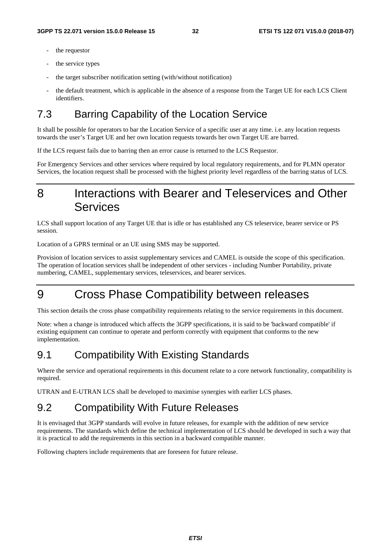- the requestor
- the service types
- the target subscriber notification setting (with/without notification)
- the default treatment, which is applicable in the absence of a response from the Target UE for each LCS Client identifiers.

# 7.3 Barring Capability of the Location Service

It shall be possible for operators to bar the Location Service of a specific user at any time. i.e. any location requests towards the user's Target UE and her own location requests towards her own Target UE are barred.

If the LCS request fails due to barring then an error cause is returned to the LCS Requestor.

For Emergency Services and other services where required by local regulatory requirements, and for PLMN operator Services, the location request shall be processed with the highest priority level regardless of the barring status of LCS.

# 8 Interactions with Bearer and Teleservices and Other Services

LCS shall support location of any Target UE that is idle or has established any CS teleservice, bearer service or PS session.

Location of a GPRS terminal or an UE using SMS may be supported.

Provision of location services to assist supplementary services and CAMEL is outside the scope of this specification. The operation of location services shall be independent of other services - including Number Portability, private numbering, CAMEL, supplementary services, teleservices, and bearer services.

# 9 Cross Phase Compatibility between releases

This section details the cross phase compatibility requirements relating to the service requirements in this document.

Note: when a change is introduced which affects the 3GPP specifications, it is said to be 'backward compatible' if existing equipment can continue to operate and perform correctly with equipment that conforms to the new implementation.

## 9.1 Compatibility With Existing Standards

Where the service and operational requirements in this document relate to a core network functionality, compatibility is required.

UTRAN and E-UTRAN LCS shall be developed to maximise synergies with earlier LCS phases.

## 9.2 Compatibility With Future Releases

It is envisaged that 3GPP standards will evolve in future releases, for example with the addition of new service requirements. The standards which define the technical implementation of LCS should be developed in such a way that it is practical to add the requirements in this section in a backward compatible manner.

Following chapters include requirements that are foreseen for future release.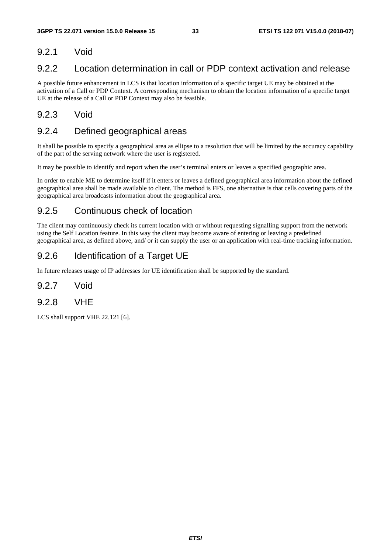#### 9.2.1 Void

#### 9.2.2 Location determination in call or PDP context activation and release

A possible future enhancement in LCS is that location information of a specific target UE may be obtained at the activation of a Call or PDP Context. A corresponding mechanism to obtain the location information of a specific target UE at the release of a Call or PDP Context may also be feasible.

#### 9.2.3 Void

#### 9.2.4 Defined geographical areas

It shall be possible to specify a geographical area as ellipse to a resolution that will be limited by the accuracy capability of the part of the serving network where the user is registered.

It may be possible to identify and report when the user's terminal enters or leaves a specified geographic area.

In order to enable ME to determine itself if it enters or leaves a defined geographical area information about the defined geographical area shall be made available to client. The method is FFS, one alternative is that cells covering parts of the geographical area broadcasts information about the geographical area.

#### 9.2.5 Continuous check of location

The client may continuously check its current location with or without requesting signalling support from the network using the Self Location feature. In this way the client may become aware of entering or leaving a predefined geographical area, as defined above, and/ or it can supply the user or an application with real-time tracking information.

#### 9.2.6 Identification of a Target UE

In future releases usage of IP addresses for UE identification shall be supported by the standard.

#### 9.2.7 Void

9.2.8 VHE

LCS shall support VHE 22.121 [6].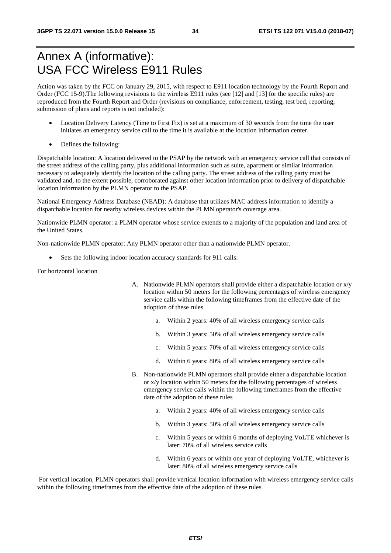# Annex A (informative): USA FCC Wireless E911 Rules

Action was taken by the FCC on January 29, 2015, with respect to E911 location technology by the Fourth Report and Order (FCC 15-9).The following revisions to the wireless E911 rules (see [12] and [13] for the specific rules) are reproduced from the Fourth Report and Order (revisions on compliance, enforcement, testing, test bed, reporting, submission of plans and reports is not included):

- Location Delivery Latency (Time to First Fix) is set at a maximum of 30 seconds from the time the user initiates an emergency service call to the time it is available at the location information center.
- Defines the following:

Dispatchable location: A location delivered to the PSAP by the network with an emergency service call that consists of the street address of the calling party, plus additional information such as suite, apartment or similar information necessary to adequately identify the location of the calling party. The street address of the calling party must be validated and, to the extent possible, corroborated against other location information prior to delivery of dispatchable location information by the PLMN operator to the PSAP.

National Emergency Address Database (NEAD): A database that utilizes MAC address information to identify a dispatchable location for nearby wireless devices within the PLMN operator's coverage area.

Nationwide PLMN operator: a PLMN operator whose service extends to a majority of the population and land area of the United States.

Non-nationwide PLMN operator: Any PLMN operator other than a nationwide PLMN operator.

Sets the following indoor location accuracy standards for 911 calls:

For horizontal location

- A. Nationwide PLMN operators shall provide either a dispatchable location or x/y location within 50 meters for the following percentages of wireless emergency service calls within the following timeframes from the effective date of the adoption of these rules
	- a. Within 2 years: 40% of all wireless emergency service calls
	- b. Within 3 years: 50% of all wireless emergency service calls
	- c. Within 5 years: 70% of all wireless emergency service calls
	- d. Within 6 years: 80% of all wireless emergency service calls
- B. Non-nationwide PLMN operators shall provide either a dispatchable location or x/y location within 50 meters for the following percentages of wireless emergency service calls within the following timeframes from the effective date of the adoption of these rules
	- a. Within 2 years: 40% of all wireless emergency service calls
	- b. Within 3 years: 50% of all wireless emergency service calls
	- c. Within 5 years or within 6 months of deploying VoLTE whichever is later: 70% of all wireless service calls
	- d. Within 6 years or within one year of deploying VoLTE, whichever is later: 80% of all wireless emergency service calls

 For vertical location, PLMN operators shall provide vertical location information with wireless emergency service calls within the following timeframes from the effective date of the adoption of these rules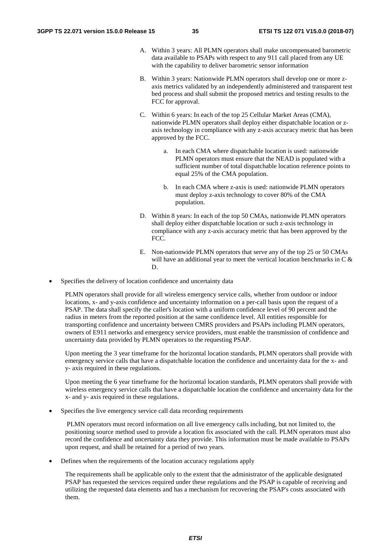- A. Within 3 years: All PLMN operators shall make uncompensated barometric data available to PSAPs with respect to any 911 call placed from any UE with the capability to deliver barometric sensor information
- B. Within 3 years: Nationwide PLMN operators shall develop one or more zaxis metrics validated by an independently administered and transparent test bed process and shall submit the proposed metrics and testing results to the FCC for approval.
- C. Within 6 years: In each of the top 25 Cellular Market Areas (CMA), nationwide PLMN operators shall deploy either dispatchable location or zaxis technology in compliance with any z-axis accuracy metric that has been approved by the FCC.
	- a. In each CMA where dispatchable location is used: nationwide PLMN operators must ensure that the NEAD is populated with a sufficient number of total dispatchable location reference points to equal 25% of the CMA population.
	- b. In each CMA where z-axis is used: nationwide PLMN operators must deploy z-axis technology to cover 80% of the CMA population.
- D. Within 8 years: In each of the top 50 CMAs, nationwide PLMN operators shall deploy either dispatchable location or such z-axis technology in compliance with any z-axis accuracy metric that has been approved by the FCC.
- E. Non-nationwide PLMN operators that serve any of the top 25 or 50 CMAs will have an additional year to meet the vertical location benchmarks in C & D.
- Specifies the delivery of location confidence and uncertainty data

PLMN operators shall provide for all wireless emergency service calls, whether from outdoor or indoor locations, x- and y-axis confidence and uncertainty information on a per-call basis upon the request of a PSAP. The data shall specify the caller's location with a uniform confidence level of 90 percent and the radius in meters from the reported position at the same confidence level. All entities responsible for transporting confidence and uncertainty between CMRS providers and PSAPs including PLMN operators, owners of E911 networks and emergency service providers, must enable the transmission of confidence and uncertainty data provided by PLMN operators to the requesting PSAP.

Upon meeting the 3 year timeframe for the horizontal location standards, PLMN operators shall provide with emergency service calls that have a dispatchable location the confidence and uncertainty data for the x- and y- axis required in these regulations.

Upon meeting the 6 year timeframe for the horizontal location standards, PLMN operators shall provide with wireless emergency service calls that have a dispatchable location the confidence and uncertainty data for the x- and y- axis required in these regulations.

Specifies the live emergency service call data recording requirements

 PLMN operators must record information on all live emergency calls including, but not limited to, the positioning source method used to provide a location fix associated with the call. PLMN operators must also record the confidence and uncertainty data they provide. This information must be made available to PSAPs upon request, and shall be retained for a period of two years.

• Defines when the requirements of the location accuracy regulations apply

The requirements shall be applicable only to the extent that the administrator of the applicable designated PSAP has requested the services required under these regulations and the PSAP is capable of receiving and utilizing the requested data elements and has a mechanism for recovering the PSAP's costs associated with them.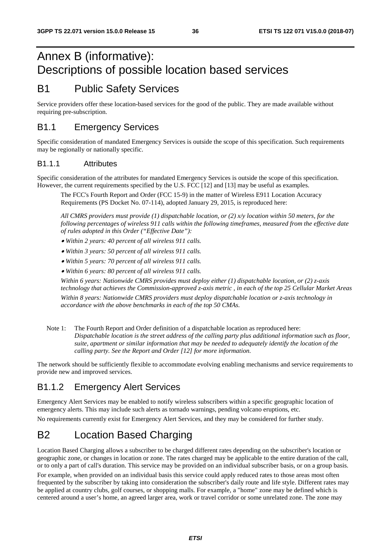# Annex B (informative): Descriptions of possible location based services

## B1 Public Safety Services

Service providers offer these location-based services for the good of the public. They are made available without requiring pre-subscription.

#### B1.1 Emergency Services

Specific consideration of mandated Emergency Services is outside the scope of this specification. Such requirements may be regionally or nationally specific.

#### B1.1.1 Attributes

Specific consideration of the attributes for mandated Emergency Services is outside the scope of this specification. However, the current requirements specified by the U.S. FCC [12] and [13] may be useful as examples.

The FCC's Fourth Report and Order (FCC 15-9) in the matter of Wireless E911 Location Accuracy Requirements (PS Docket No. 07-114), adopted January 29, 2015, is reproduced here:

*All CMRS providers must provide (1) dispatchable location, or (2) x/y location within 50 meters, for the following percentages of wireless 911 calls within the following timeframes, measured from the effective date of rules adopted in this Order ("Effective Date"):* 

• *Within 2 years: 40 percent of all wireless 911 calls.* 

• *Within 3 years: 50 percent of all wireless 911 calls.* 

• *Within 5 years: 70 percent of all wireless 911 calls.* 

• *Within 6 years: 80 percent of all wireless 911 calls.* 

*Within 6 years: Nationwide CMRS provides must deploy either (1) dispatchable location, or (2) z-axis technology that achieves the Commission-approved z-axis metric , in each of the top 25 Cellular Market Areas Within 8 years: Nationwide CMRS providers must deploy dispatchable location or z-axis technology in accordance with the above benchmarks in each of the top 50 CMAs.* 

Note 1: The Fourth Report and Order definition of a dispatchable location as reproduced here: *Dispatchable location is the street address of the calling party plus additional information such as floor, suite, apartment or similar information that may be needed to adequately identify the location of the calling party. See the Report and Order [12] for more information.*

The network should be sufficiently flexible to accommodate evolving enabling mechanisms and service requirements to provide new and improved services.

### B1.1.2 Emergency Alert Services

Emergency Alert Services may be enabled to notify wireless subscribers within a specific geographic location of emergency alerts. This may include such alerts as tornado warnings, pending volcano eruptions, etc. No requirements currently exist for Emergency Alert Services, and they may be considered for further study.

# B2 Location Based Charging

Location Based Charging allows a subscriber to be charged different rates depending on the subscriber's location or geographic zone, or changes in location or zone. The rates charged may be applicable to the entire duration of the call, or to only a part of call's duration. This service may be provided on an individual subscriber basis, or on a group basis.

For example, when provided on an individual basis this service could apply reduced rates to those areas most often frequented by the subscriber by taking into consideration the subscriber's daily route and life style. Different rates may be applied at country clubs, golf courses, or shopping malls. For example, a "home" zone may be defined which is centered around a user's home, an agreed larger area, work or travel corridor or some unrelated zone. The zone may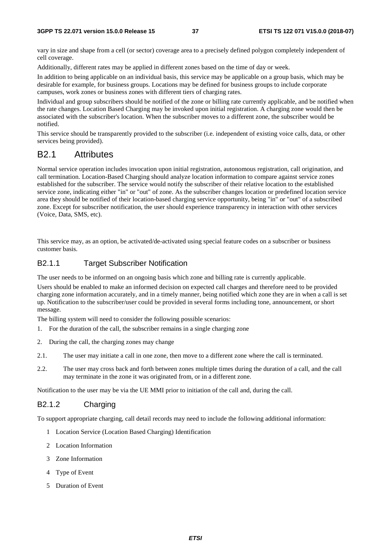vary in size and shape from a cell (or sector) coverage area to a precisely defined polygon completely independent of cell coverage.

Additionally, different rates may be applied in different zones based on the time of day or week.

In addition to being applicable on an individual basis, this service may be applicable on a group basis, which may be desirable for example, for business groups. Locations may be defined for business groups to include corporate campuses, work zones or business zones with different tiers of charging rates.

Individual and group subscribers should be notified of the zone or billing rate currently applicable, and be notified when the rate changes. Location Based Charging may be invoked upon initial registration. A charging zone would then be associated with the subscriber's location. When the subscriber moves to a different zone, the subscriber would be notified.

This service should be transparently provided to the subscriber (i.e. independent of existing voice calls, data, or other services being provided).

#### B2.1 Attributes

Normal service operation includes invocation upon initial registration, autonomous registration, call origination, and call termination. Location-Based Charging should analyze location information to compare against service zones established for the subscriber. The service would notify the subscriber of their relative location to the established service zone, indicating either "in" or "out" of zone. As the subscriber changes location or predefined location service area they should be notified of their location-based charging service opportunity, being "in" or "out" of a subscribed zone. Except for subscriber notification, the user should experience transparency in interaction with other services (Voice, Data, SMS, etc).

This service may, as an option, be activated/de-activated using special feature codes on a subscriber or business customer basis.

#### B2.1.1 Target Subscriber Notification

The user needs to be informed on an ongoing basis which zone and billing rate is currently applicable.

Users should be enabled to make an informed decision on expected call charges and therefore need to be provided charging zone information accurately, and in a timely manner, being notified which zone they are in when a call is set up. Notification to the subscriber/user could be provided in several forms including tone, announcement, or short message.

The billing system will need to consider the following possible scenarios:

- 1. For the duration of the call, the subscriber remains in a single charging zone
- 2. During the call, the charging zones may change
- 2.1. The user may initiate a call in one zone, then move to a different zone where the call is terminated.
- 2.2. The user may cross back and forth between zones multiple times during the duration of a call, and the call may terminate in the zone it was originated from, or in a different zone.

Notification to the user may be via the UE MMI prior to initiation of the call and, during the call.

#### B2.1.2 Charging

To support appropriate charging, call detail records may need to include the following additional information:

- 1 Location Service (Location Based Charging) Identification
- 2 Location Information
- 3 Zone Information
- 4 Type of Event
- 5 Duration of Event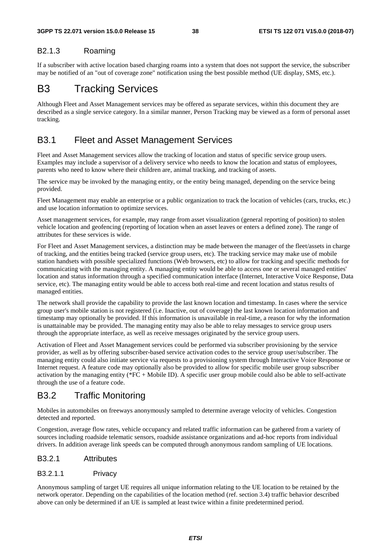#### B2.1.3 Roaming

If a subscriber with active location based charging roams into a system that does not support the service, the subscriber may be notified of an "out of coverage zone" notification using the best possible method (UE display, SMS, etc.).

## B3 Tracking Services

Although Fleet and Asset Management services may be offered as separate services, within this document they are described as a single service category. In a similar manner, Person Tracking may be viewed as a form of personal asset tracking.

#### B3.1 Fleet and Asset Management Services

Fleet and Asset Management services allow the tracking of location and status of specific service group users. Examples may include a supervisor of a delivery service who needs to know the location and status of employees, parents who need to know where their children are, animal tracking, and tracking of assets.

The service may be invoked by the managing entity, or the entity being managed, depending on the service being provided.

Fleet Management may enable an enterprise or a public organization to track the location of vehicles (cars, trucks, etc.) and use location information to optimize services.

Asset management services, for example, may range from asset visualization (general reporting of position) to stolen vehicle location and geofencing (reporting of location when an asset leaves or enters a defined zone). The range of attributes for these services is wide.

For Fleet and Asset Management services, a distinction may be made between the manager of the fleet/assets in charge of tracking, and the entities being tracked (service group users, etc). The tracking service may make use of mobile station handsets with possible specialized functions (Web browsers, etc) to allow for tracking and specific methods for communicating with the managing entity. A managing entity would be able to access one or several managed entities' location and status information through a specified communication interface (Internet, Interactive Voice Response, Data service, etc). The managing entity would be able to access both real-time and recent location and status results of managed entities.

The network shall provide the capability to provide the last known location and timestamp. In cases where the service group user's mobile station is not registered (i.e. Inactive, out of coverage) the last known location information and timestamp may optionally be provided. If this information is unavailable in real-time, a reason for why the information is unattainable may be provided. The managing entity may also be able to relay messages to service group users through the appropriate interface, as well as receive messages originated by the service group users.

Activation of Fleet and Asset Management services could be performed via subscriber provisioning by the service provider, as well as by offering subscriber-based service activation codes to the service group user/subscriber. The managing entity could also initiate service via requests to a provisioning system through Interactive Voice Response or Internet request. A feature code may optionally also be provided to allow for specific mobile user group subscriber activation by the managing entity (\*FC + Mobile ID). A specific user group mobile could also be able to self-activate through the use of a feature code.

#### B3.2 Traffic Monitoring

Mobiles in automobiles on freeways anonymously sampled to determine average velocity of vehicles. Congestion detected and reported.

Congestion, average flow rates, vehicle occupancy and related traffic information can be gathered from a variety of sources including roadside telematic sensors, roadside assistance organizations and ad-hoc reports from individual drivers. In addition average link speeds can be computed through anonymous random sampling of UE locations.

#### B3.2.1 Attributes

#### B3.2.1.1 Privacy

Anonymous sampling of target UE requires all unique information relating to the UE location to be retained by the network operator. Depending on the capabilities of the location method (ref. section 3.4) traffic behavior described above can only be determined if an UE is sampled at least twice within a finite predetermined period.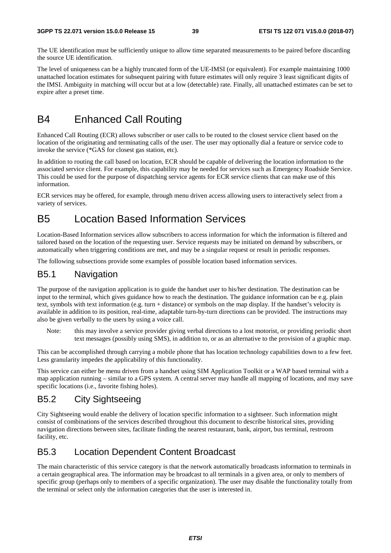The UE identification must be sufficiently unique to allow time separated measurements to be paired before discarding the source UE identification.

The level of uniqueness can be a highly truncated form of the UE-IMSI (or equivalent). For example maintaining 1000 unattached location estimates for subsequent pairing with future estimates will only require 3 least significant digits of the IMSI. Ambiguity in matching will occur but at a low (detectable) rate. Finally, all unattached estimates can be set to expire after a preset time.

# B4 Enhanced Call Routing

Enhanced Call Routing (ECR) allows subscriber or user calls to be routed to the closest service client based on the location of the originating and terminating calls of the user. The user may optionally dial a feature or service code to invoke the service (\*GAS for closest gas station, etc).

In addition to routing the call based on location, ECR should be capable of delivering the location information to the associated service client. For example, this capability may be needed for services such as Emergency Roadside Service. This could be used for the purpose of dispatching service agents for ECR service clients that can make use of this information.

ECR services may be offered, for example, through menu driven access allowing users to interactively select from a variety of services.

# B5 Location Based Information Services

Location-Based Information services allow subscribers to access information for which the information is filtered and tailored based on the location of the requesting user. Service requests may be initiated on demand by subscribers, or automatically when triggering conditions are met, and may be a singular request or result in periodic responses.

The following subsections provide some examples of possible location based information services.

#### B5.1 Navigation

The purpose of the navigation application is to guide the handset user to his/her destination. The destination can be input to the terminal, which gives guidance how to reach the destination. The guidance information can be e.g. plain text, symbols with text information (e.g. turn + distance) or symbols on the map display. If the handset's velocity is available in addition to its position, real-time, adaptable turn-by-turn directions can be provided. The instructions may also be given verbally to the users by using a voice call.

Note: this may involve a service provider giving verbal directions to a lost motorist, or providing periodic short text messages (possibly using SMS), in addition to, or as an alternative to the provision of a graphic map.

This can be accomplished through carrying a mobile phone that has location technology capabilities down to a few feet. Less granularity impedes the applicability of this functionality.

This service can either be menu driven from a handset using SIM Application Toolkit or a WAP based terminal with a map application running – similar to a GPS system. A central server may handle all mapping of locations, and may save specific locations (i.e., favorite fishing holes).

### B5.2 City Sightseeing

City Sightseeing would enable the delivery of location specific information to a sightseer. Such information might consist of combinations of the services described throughout this document to describe historical sites, providing navigation directions between sites, facilitate finding the nearest restaurant, bank, airport, bus terminal, restroom facility, etc.

## B5.3 Location Dependent Content Broadcast

The main characteristic of this service category is that the network automatically broadcasts information to terminals in a certain geographical area. The information may be broadcast to all terminals in a given area, or only to members of specific group (perhaps only to members of a specific organization). The user may disable the functionality totally from the terminal or select only the information categories that the user is interested in.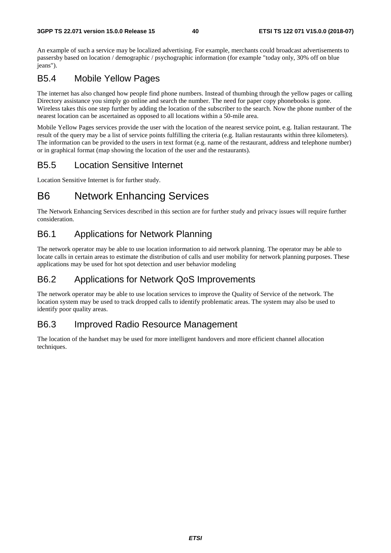An example of such a service may be localized advertising. For example, merchants could broadcast advertisements to passersby based on location / demographic / psychographic information (for example "today only, 30% off on blue jeans").

## B5.4 Mobile Yellow Pages

The internet has also changed how people find phone numbers. Instead of thumbing through the yellow pages or calling Directory assistance you simply go online and search the number. The need for paper copy phonebooks is gone. Wireless takes this one step further by adding the location of the subscriber to the search. Now the phone number of the nearest location can be ascertained as opposed to all locations within a 50-mile area.

Mobile Yellow Pages services provide the user with the location of the nearest service point, e.g. Italian restaurant. The result of the query may be a list of service points fulfilling the criteria (e.g. Italian restaurants within three kilometers). The information can be provided to the users in text format (e.g. name of the restaurant, address and telephone number) or in graphical format (map showing the location of the user and the restaurants).

#### B5.5 Location Sensitive Internet

Location Sensitive Internet is for further study.

# B6 Network Enhancing Services

The Network Enhancing Services described in this section are for further study and privacy issues will require further consideration.

#### B6.1 Applications for Network Planning

The network operator may be able to use location information to aid network planning. The operator may be able to locate calls in certain areas to estimate the distribution of calls and user mobility for network planning purposes. These applications may be used for hot spot detection and user behavior modeling

#### B6.2 Applications for Network QoS Improvements

The network operator may be able to use location services to improve the Quality of Service of the network. The location system may be used to track dropped calls to identify problematic areas. The system may also be used to identify poor quality areas.

#### B6.3 Improved Radio Resource Management

The location of the handset may be used for more intelligent handovers and more efficient channel allocation techniques.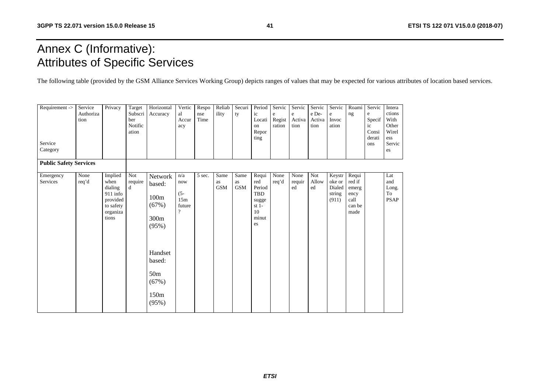# Annex C (Informative): Attributes of Specific Services

The following table (provided by the GSM Alliance Services Working Group) depicts ranges of values that may be expected for various attributes of location based services.

| $\overline{\text{Required}}$ ><br>Service<br>Category | Service<br>Authoriza<br>tion | Privacy                                                                                | Target<br>Subscri<br>ber<br>Notific<br>ation | Horizontal<br>Accuracy                                                                                                            | Vertic<br>al<br>Accur<br>acy                            | Respo<br>nse<br>Time | Reliab<br>ility          | Securi<br>ty             | Period<br>ic<br>Locati<br>on<br>Repor<br>ting                                 | Servic<br>e<br>Regist<br>ration | Servic<br>e<br>Activa<br>tion | Servic<br>e De-<br>Activa<br>tion | Servic<br>e<br>Invoc<br>ation                 | Roami<br>ng                                                | Servic<br>e<br>Specif<br>ic<br>Consi<br>derati<br>ons | Intera<br>ctions<br>With<br>Other<br>Wirel<br>ess<br>Servic<br>es |
|-------------------------------------------------------|------------------------------|----------------------------------------------------------------------------------------|----------------------------------------------|-----------------------------------------------------------------------------------------------------------------------------------|---------------------------------------------------------|----------------------|--------------------------|--------------------------|-------------------------------------------------------------------------------|---------------------------------|-------------------------------|-----------------------------------|-----------------------------------------------|------------------------------------------------------------|-------------------------------------------------------|-------------------------------------------------------------------|
| <b>Public Safety Services</b>                         |                              |                                                                                        |                                              |                                                                                                                                   |                                                         |                      |                          |                          |                                                                               |                                 |                               |                                   |                                               |                                                            |                                                       |                                                                   |
| Emergency<br>Services                                 | None<br>req'd                | Implied<br>when<br>dialing<br>$911$ info<br>provided<br>to safety<br>organiza<br>tions | Not<br>require<br>d                          | Network<br>based:<br>100m<br>(67%)<br>300 <sub>m</sub><br>(95%)<br>Handset<br>based:<br>50 <sub>m</sub><br>(67%)<br>150m<br>(95%) | n/a<br>now<br>$(5 -$<br>15m<br>future<br>$\overline{?}$ | 5 sec.               | Same<br>as<br><b>GSM</b> | Same<br>as<br><b>GSM</b> | Requi<br>red<br>Period<br><b>TBD</b><br>sugge<br>st $1-$<br>10<br>minut<br>es | None<br>req'd                   | None<br>requir<br>ed          | Not<br>Allow<br>ed                | Keystr<br>oke or<br>Dialed<br>string<br>(911) | Requi<br>red if<br>emerg<br>ency<br>call<br>can be<br>made |                                                       | Lat<br>and<br>Long.<br>To<br><b>PSAP</b>                          |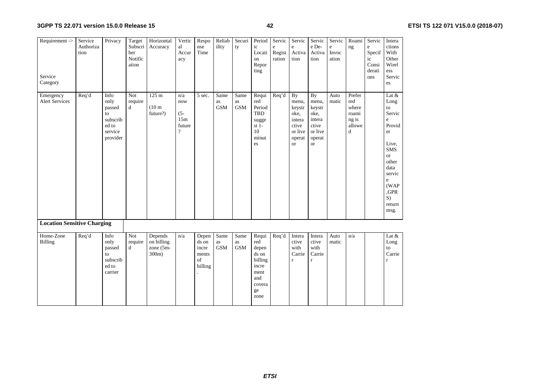| Requirement -><br>Service<br>Category | Service<br>Authoriza<br>tion | Privacy                                                                  | Target<br>Subscri<br>ber<br>Notific<br>ation | Horizontal<br>Accuracy                             | Vertic<br>al<br>Accur<br>acy                            | Respo<br>nse<br>Time                              | Reliab<br>ility          | Securi<br>ty             | Period<br>ic<br>Locati<br>on<br>Repor<br>ting                                             | Servic<br>e<br>Regist<br>ration | Servic<br>$\rm e$<br>Activa<br>tion                                                | Servic<br>e De-<br>Activa<br>tion                                                         | Servic<br>$\mathbf e$<br>Invoc<br>ation | Roami<br>ng                                             | Servic<br>e<br>Specif<br>ic<br>Consi<br>derati<br>ons | Intera<br>ctions<br>With<br>Other<br>Wirel<br>ess<br>Servic<br>es                                                                                                 |
|---------------------------------------|------------------------------|--------------------------------------------------------------------------|----------------------------------------------|----------------------------------------------------|---------------------------------------------------------|---------------------------------------------------|--------------------------|--------------------------|-------------------------------------------------------------------------------------------|---------------------------------|------------------------------------------------------------------------------------|-------------------------------------------------------------------------------------------|-----------------------------------------|---------------------------------------------------------|-------------------------------------------------------|-------------------------------------------------------------------------------------------------------------------------------------------------------------------|
| Emergency<br><b>Alert Services</b>    | Req'd                        | Info<br>only<br>passed<br>to<br>subscrib<br>ed to<br>service<br>provider | <b>Not</b><br>require<br>d                   | 125 <sub>m</sub><br>(10 <sub>m</sub> )<br>future?) | n/a<br>now<br>$(5 -$<br>15m<br>future<br>$\overline{?}$ | $\overline{5}$ sec.                               | Same<br>as<br><b>GSM</b> | Same<br>as<br><b>GSM</b> | Requi<br>red<br>Period<br><b>TBD</b><br>sugge<br>st $1-$<br>10<br>minut<br>es             | Req'd                           | By<br>menu,<br>keystr<br>oke,<br>intera<br>ctive<br>or live<br>operat<br><b>or</b> | <b>By</b><br>menu,<br>keystr<br>oke.<br>intera<br>ctive<br>or live<br>operat<br><b>or</b> | Auto<br>matic                           | Prefer<br>red<br>where<br>roami<br>ng is<br>allowe<br>d |                                                       | Lat $&$<br>Long<br>to<br>Servic<br>e<br>Provid<br>er<br>Live,<br><b>SMS</b><br><b>or</b><br>other<br>data<br>servic<br>e<br>(WAP)<br>,GPR<br>S)<br>return<br>msg. |
| <b>Location Sensitive Charging</b>    |                              |                                                                          |                                              |                                                    |                                                         |                                                   |                          |                          |                                                                                           |                                 |                                                                                    |                                                                                           |                                         |                                                         |                                                       |                                                                                                                                                                   |
| Home-Zone<br>Billing                  | Req'd                        | Info<br>only<br>passed<br>to<br>subscrib<br>ed to<br>carrier             | <b>Not</b><br>require<br>d                   | Depends<br>on billing<br>zone (5m-<br>300m)        | n/a                                                     | Depen<br>ds on<br>incre<br>ments<br>of<br>billing | Same<br>as<br><b>GSM</b> | Same<br>as<br><b>GSM</b> | Requi<br>red<br>depen<br>ds on<br>billing<br>incre<br>ment<br>and<br>covera<br>ge<br>zone | Req'd                           | Intera<br>ctive<br>with<br>Carrie<br>$\mathbf r$                                   | Intera<br>ctive<br>with<br>Carrie<br>$\mathbf r$                                          | Auto<br>matic                           | n/a                                                     |                                                       | Lat $&$<br>Long<br>to<br>Carrie<br>$\mathbf{r}$                                                                                                                   |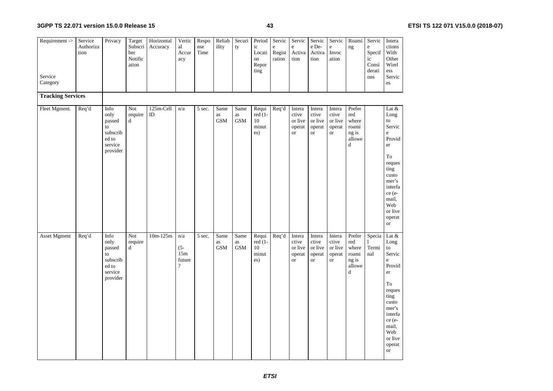| Requirement -><br>Service | Service<br>Authoriza<br>tion | Privacy                                                                  | Target<br>Subscri<br>ber<br>Notific<br>ation | Horizontal<br>Accuracy | Vertic<br>al<br>Accur<br>acy               | Respo<br>nse<br>Time | Reliab<br>ility          | Securi<br>ty             | Period<br>ic<br>Locati<br>on<br>Repor<br>ting | Servic<br>e<br>Regist<br>ration | Servic<br>$\rm e$<br>Activa<br>tion               | Servic<br>e De-<br>Activa<br>tion                 | Servic<br>$\mathbf{e}$<br>Invoc<br>ation          | Roami<br>$\rm ng$                                       | Servic<br>$\rm e$<br>Specif<br>ic<br>Consi<br>derati<br>ons | Intera<br>ctions<br>With<br>Other<br>Wirel<br>ess<br>Servic                                                                                                                      |
|---------------------------|------------------------------|--------------------------------------------------------------------------|----------------------------------------------|------------------------|--------------------------------------------|----------------------|--------------------------|--------------------------|-----------------------------------------------|---------------------------------|---------------------------------------------------|---------------------------------------------------|---------------------------------------------------|---------------------------------------------------------|-------------------------------------------------------------|----------------------------------------------------------------------------------------------------------------------------------------------------------------------------------|
| Category                  |                              |                                                                          |                                              |                        |                                            |                      |                          |                          |                                               |                                 |                                                   |                                                   |                                                   |                                                         |                                                             | es                                                                                                                                                                               |
| <b>Tracking Services</b>  |                              |                                                                          |                                              |                        |                                            |                      |                          |                          |                                               |                                 |                                                   |                                                   |                                                   |                                                         |                                                             |                                                                                                                                                                                  |
| Fleet Mgment.             | Req'd                        | Info<br>only<br>passed<br>to<br>subscrib<br>ed to<br>service<br>provider | Not<br>require<br>$\mathbf d$                | 125m-Cell<br>$\rm ID$  | n/a                                        | 5 sec.               | Same<br>as<br><b>GSM</b> | Same<br>as<br><b>GSM</b> | Requi<br>red (1-<br>10<br>minut<br>es)        | Req'd                           | Intera<br>ctive<br>or live<br>operat<br><b>or</b> | Intera<br>ctive<br>or live<br>operat<br><b>or</b> | Intera<br>ctive<br>or live<br>operat<br><b>or</b> | Prefer<br>red<br>where<br>roami<br>ng is<br>allowe<br>d |                                                             | Lat &<br>Long<br>to<br>Servic<br>$\mathbf e$<br>Provid<br>er<br>To<br>reques<br>ting<br>custo<br>mer's<br>interfa<br>ce (e-<br>mail,<br>Web<br>or live<br>operat<br><b>or</b>    |
| <b>Asset Mgment</b>       | Req'd                        | Info<br>only<br>passed<br>to<br>subscrib<br>ed to<br>service<br>provider | Not<br>require<br>d                          | $10m-125m$             | n/a<br>$(5 -$<br>15m<br>future<br>$\gamma$ | 5 sec.               | Same<br>as<br><b>GSM</b> | Same<br>as<br><b>GSM</b> | Requi<br>$red(1-$<br>10<br>minut<br>es)       | Req'd                           | Intera<br>ctive<br>or live<br>operat<br><b>or</b> | Intera<br>ctive<br>or live<br>operat<br><b>or</b> | Intera<br>ctive<br>or live<br>operat<br><b>or</b> | Prefer<br>red<br>where<br>roami<br>ng is<br>allowe<br>d | Specia<br>1<br>Termi<br>nal                                 | Lat $\&$<br>Long<br>to<br>Servic<br>$\mathbf e$<br>Provid<br>er<br>To<br>reques<br>ting<br>custo<br>mer's<br>interfa<br>ce (e-<br>mail,<br>Web<br>or live<br>operat<br><b>or</b> |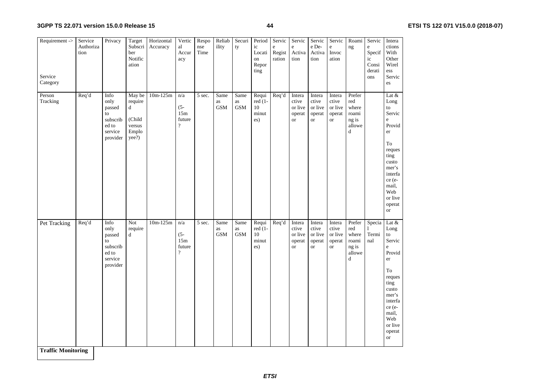| Requirement -><br>Service<br>Category | Service<br>Authoriza<br>tion | Privacy                                                                  | Target<br>Subscri<br>ber<br>Notific<br>ation                 | Horizontal<br>Accuracy | Vertic<br>al<br>Accur<br>acy                     | Respo<br>nse<br>Time | Reliab<br>ility          | Securi<br>ty             | Period<br>ic<br>Locati<br>on<br>Repor<br>ting | Servic<br>$\rm e$<br>Regist<br>ration | Servic<br>$\rm e$<br>Activa<br>tion                   | Servic<br>$\rm e$ De-<br>Activa<br>tion           | Servic<br>e<br>Invoc<br>ation                         | Roami<br>ng                                                       | Servic<br>$\rm e$<br>Specif<br>ic<br>Consi<br>derati<br>ons | Intera<br>ctions<br>With<br>Other<br>Wirel<br>ess<br>Servic<br>es                                                                                                      |
|---------------------------------------|------------------------------|--------------------------------------------------------------------------|--------------------------------------------------------------|------------------------|--------------------------------------------------|----------------------|--------------------------|--------------------------|-----------------------------------------------|---------------------------------------|-------------------------------------------------------|---------------------------------------------------|-------------------------------------------------------|-------------------------------------------------------------------|-------------------------------------------------------------|------------------------------------------------------------------------------------------------------------------------------------------------------------------------|
| Person<br>Tracking                    | Req'd                        | Info<br>only<br>passed<br>to<br>subscrib<br>ed to<br>service<br>provider | May be<br>require<br>d<br>(Child<br>versus<br>Emplo<br>yee?) | $10m-125m$             | n/a<br>$(5 -$<br>15m<br>future<br>$\overline{?}$ | 5 sec.               | Same<br>as<br><b>GSM</b> | Same<br>as<br><b>GSM</b> | Requi<br>red (1-<br>10<br>minut<br>es)        | Req'd                                 | Intera<br>ctive<br>or live<br>operat<br><sub>or</sub> | Intera<br>ctive<br>or live<br>operat<br><b>or</b> | Intera<br>ctive<br>or live<br>operat<br><b>or</b>     | Prefer<br>red<br>where<br>roami<br>ng is<br>allowe<br>$\mathbf d$ |                                                             | Lat $\&$<br>Long<br>to<br>Servic<br>e<br>Provid<br>er<br>To<br>reques<br>ting<br>custo<br>mer's<br>interfa<br>ce (e-<br>mail,<br>Web<br>or live<br>operat<br><b>or</b> |
| Pet Tracking<br>Troffic Monitoring    | Req'd                        | Info<br>only<br>passed<br>to<br>subscrib<br>ed to<br>service<br>provider | Not<br>require<br>d                                          | $10m-125m$             | n/a<br>$(5 -$<br>15m<br>future<br>$\overline{?}$ | 5 sec.               | Same<br>as<br><b>GSM</b> | Same<br>as<br><b>GSM</b> | Requi<br>red (1-<br>10<br>minut<br>es)        | Req'd                                 | Intera<br>ctive<br>or live<br>operat<br><sub>or</sub> | Intera<br>ctive<br>or live<br>operat<br><b>or</b> | Intera<br>ctive<br>or live<br>operat<br><sub>or</sub> | Prefer<br>red<br>where<br>roami<br>ng is<br>allowe<br>d           | Specia<br>Termi<br>nal                                      | Lat $&$<br>Long<br>to<br>Servic<br>e<br>Provid<br>er<br>To<br>reques<br>ting<br>custo<br>mer's<br>interfa<br>ce (e-<br>mail,<br>Web<br>or live<br>operat<br><b>or</b>  |

**Traffic Monitoring**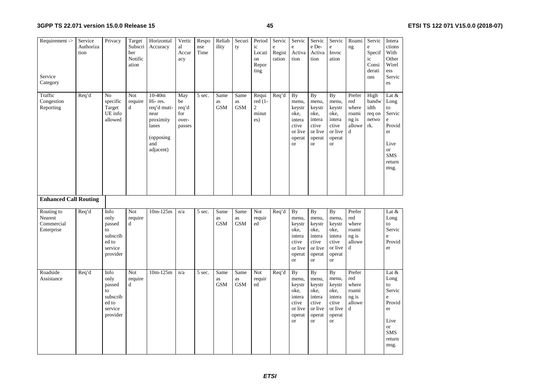| Requirement -><br>Service<br>Category | Service<br>Authoriza<br>tion | Privacy                                                  | Target<br>Subscri<br>ber<br>Notific<br>ation | Horizontal<br>Accuracy                                                                             | Vertic<br>al<br>Accur<br>acy                 | Respo<br>nse<br>Time | Reliab<br>ility          | Securi<br>ty             | Period<br>ic<br>Locati<br>on<br>Repor<br>ting   | Servic<br>e<br>Regist<br>ration | Servic<br>$\rm e$<br>Activa<br>tion                                                       | Servic<br>e De-<br>Activa<br>tion                                                             | Servic<br>$\mathbf e$<br>Invoc<br>ation                                                   | Roami<br>ng                                             | Servic<br>e<br>Specif<br>ic<br>Consi<br>derati<br>ons | Intera<br>ctions<br>With<br>Other<br>Wirel<br>ess<br>Servic<br>es                                       |
|---------------------------------------|------------------------------|----------------------------------------------------------|----------------------------------------------|----------------------------------------------------------------------------------------------------|----------------------------------------------|----------------------|--------------------------|--------------------------|-------------------------------------------------|---------------------------------|-------------------------------------------------------------------------------------------|-----------------------------------------------------------------------------------------------|-------------------------------------------------------------------------------------------|---------------------------------------------------------|-------------------------------------------------------|---------------------------------------------------------------------------------------------------------|
| Traffic<br>Congestion<br>Reporting    | Req'd                        | No<br>specific<br>Target<br>UE info<br>allowed           | Not<br>require<br>d                          | $10-40m$<br>Hi-res.<br>req'd muti-<br>near<br>proximity<br>lanes<br>(opposing)<br>and<br>adjacent) | May<br>be<br>req'd<br>for<br>over-<br>passes | 5 sec.               | Same<br>as<br><b>GSM</b> | Same<br>as<br><b>GSM</b> | Requi<br>red (1-<br>$\sqrt{2}$<br>$\min$<br>es) | Req'd                           | <b>By</b><br>menu,<br>keystr<br>oke.<br>intera<br>ctive<br>or live<br>operat<br><b>or</b> | <b>By</b><br>menu,<br>keystr<br>oke.<br>intera<br>ctive<br>or live<br>operat<br><sub>or</sub> | <b>By</b><br>menu,<br>keystr<br>oke.<br>intera<br>ctive<br>or live<br>operat<br><b>or</b> | Prefer<br>red<br>where<br>roami<br>ng is<br>allowe<br>d | High<br>bandw<br>idth<br>req on<br>netwo<br>rk.       | Lat &<br>Long<br>to<br>Servic<br>e<br>Provid<br>er<br>Live<br><b>or</b><br><b>SMS</b><br>return<br>msg. |
| <b>Enhanced Call Routing</b>          |                              |                                                          |                                              |                                                                                                    |                                              |                      |                          |                          |                                                 |                                 |                                                                                           |                                                                                               |                                                                                           |                                                         |                                                       |                                                                                                         |
| Routing to<br>Nearest                 | Req'd                        | Info<br>only                                             | Not<br>require                               | $10m-125m$                                                                                         | n/a                                          | 5 sec.               | Same                     | Same                     | Not                                             | Req'd                           | <b>By</b>                                                                                 | <b>By</b>                                                                                     | <b>By</b>                                                                                 | Prefer                                                  |                                                       | Lat &<br>Long                                                                                           |
| Commercial<br>Enterprise              | Req'd                        | passed<br>to<br>subscrib<br>ed to<br>service<br>provider | $\mathbf d$                                  |                                                                                                    |                                              |                      | as<br><b>GSM</b>         | as<br><b>GSM</b>         | requir<br>ed                                    | Req'd                           | menu,<br>keystr<br>oke,<br>intera<br>ctive<br>or live<br>operat<br><b>or</b>              | menu,<br>keystr<br>oke,<br>intera<br>ctive<br>or live<br>operat<br>or                         | menu,<br>keystr<br>oke,<br>intera<br>ctive<br>or live<br>operat<br><b>or</b>              | red<br>where<br>roami<br>ng is<br>allowe<br>d           |                                                       | to<br>Servic<br>e<br>Provid<br>er                                                                       |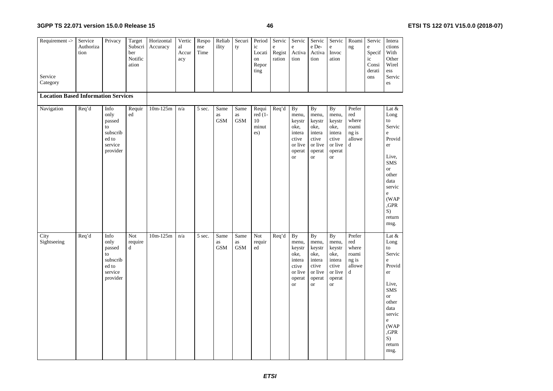| Requirement -><br>Service                  | Service<br>Authoriza<br>tion | Privacy                                                                  | Target<br>Subscri<br>ber<br>Notific<br>ation | Horizontal<br>Accuracy | Vertic<br>al<br>Accur<br>acy | Respo<br>nse<br>Time | Reliab<br>ility          | Securi<br>ty             | Period<br>ic<br>Locati<br>on<br>Repor<br>ting | Servic<br>$\rm e$<br>Regist<br>ration | Servic<br>e<br>Activa<br>tion                                                                        | Servic<br>e De-<br>Activa<br>tion                                                         | Servic<br>$\rm e$<br>Invoc<br>ation                                                       | Roami<br>ng                                                       | Servic<br>e<br>Specif<br>ic<br>Consi<br>derati<br>ons | Intera<br>ctions<br>With<br>Other<br>Wirel<br>ess<br>Servic                                                                                                        |
|--------------------------------------------|------------------------------|--------------------------------------------------------------------------|----------------------------------------------|------------------------|------------------------------|----------------------|--------------------------|--------------------------|-----------------------------------------------|---------------------------------------|------------------------------------------------------------------------------------------------------|-------------------------------------------------------------------------------------------|-------------------------------------------------------------------------------------------|-------------------------------------------------------------------|-------------------------------------------------------|--------------------------------------------------------------------------------------------------------------------------------------------------------------------|
| Category                                   |                              |                                                                          |                                              |                        |                              |                      |                          |                          |                                               |                                       |                                                                                                      |                                                                                           |                                                                                           |                                                                   |                                                       | es                                                                                                                                                                 |
| <b>Location Based Information Services</b> |                              |                                                                          |                                              |                        |                              |                      |                          |                          |                                               |                                       |                                                                                                      |                                                                                           |                                                                                           |                                                                   |                                                       |                                                                                                                                                                    |
| Navigation                                 | Req'd                        | Info<br>only<br>passed<br>to<br>subscrib<br>ed to<br>service<br>provider | Requir<br>ed                                 | $10m-125m$             | n/a                          | $\overline{5}$ sec.  | Same<br>as<br><b>GSM</b> | Same<br>as<br><b>GSM</b> | Requi<br>$red(1-$<br>10<br>minut<br>es)       | Req'd                                 | <b>By</b><br>menu,<br>keystr<br>oke,<br>intera<br>ctive<br>or live<br>operat<br>$\hbox{or}\hskip2pt$ | <b>By</b><br>menu,<br>keystr<br>oke,<br>intera<br>ctive<br>or live<br>operat<br><b>or</b> | <b>By</b><br>menu,<br>keystr<br>oke,<br>intera<br>ctive<br>or live<br>operat<br><b>or</b> | Prefer<br>red<br>where<br>roami<br>ng is<br>allowe<br>$\mathbf d$ |                                                       | Lat $&$<br>Long<br>to<br>Servic<br>e<br>Provid<br>er<br>Live,<br><b>SMS</b><br><b>or</b><br>other<br>data<br>servic<br>e<br>(WAP)<br>,GPR<br>S)<br>return<br>msg.  |
| City<br>Sightseeing                        | Req'd                        | Info<br>only<br>passed<br>to<br>subscrib<br>ed to<br>service<br>provider | Not<br>require<br>d                          | $10m-125m$             | n/a                          | 5 sec.               | Same<br>as<br><b>GSM</b> | Same<br>as<br><b>GSM</b> | $\operatorname{\bf Not}$<br>requir<br>ed      | Req'd                                 | <b>By</b><br>menu,<br>keystr<br>oke,<br>intera<br>ctive<br>or live<br>operat<br><b>or</b>            | <b>By</b><br>menu,<br>keystr<br>oke,<br>intera<br>ctive<br>or live<br>operat<br><b>or</b> | By<br>menu,<br>keystr<br>oke,<br>intera<br>ctive<br>or live<br>operat<br><sub>or</sub>    | Prefer<br>red<br>where<br>roami<br>ng is<br>allowe<br>$\mathbf d$ |                                                       | Lat $\&$<br>Long<br>to<br>Servic<br>e<br>Provid<br>er<br>Live.<br><b>SMS</b><br><b>or</b><br>other<br>data<br>servic<br>e<br>(WAP)<br>,GPR<br>S)<br>return<br>msg. |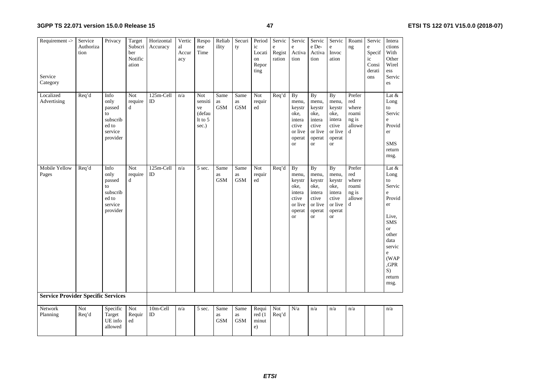| Requirement ->                            | Service<br>Authoriza<br>tion | Privacy                                                                  | Target<br>Subscri<br>ber<br>Notific<br>ation | Horizontal<br>Accuracy | Vertic<br>al<br>Accur<br>acy | Respo<br>nse<br>Time                               | Reliab<br>ility          | Securi<br>ty             | Period<br>ic<br>Locati<br>on<br>Repor<br>ting | Servic<br>e<br>Regist<br>ration | Servic<br>e<br>Activa<br>tion                                                             | Servic<br>e De-<br>Activa<br>tion                                                             | Servic<br>$\mathbf e$<br>Invoc<br>ation                                                   | Roami<br>ng                                             | Servic<br>e<br>Specif<br>ic<br>Consi<br>derati | Intera<br>ctions<br>With<br>Other<br>Wirel<br>ess                                                                                                                 |
|-------------------------------------------|------------------------------|--------------------------------------------------------------------------|----------------------------------------------|------------------------|------------------------------|----------------------------------------------------|--------------------------|--------------------------|-----------------------------------------------|---------------------------------|-------------------------------------------------------------------------------------------|-----------------------------------------------------------------------------------------------|-------------------------------------------------------------------------------------------|---------------------------------------------------------|------------------------------------------------|-------------------------------------------------------------------------------------------------------------------------------------------------------------------|
| Service<br>Category                       |                              |                                                                          |                                              |                        |                              |                                                    |                          |                          |                                               |                                 |                                                                                           |                                                                                               |                                                                                           |                                                         | ons                                            | Servic<br>es                                                                                                                                                      |
| Localized<br>Advertising                  | Req'd                        | Info<br>only<br>passed<br>to<br>subscrib<br>ed to<br>service<br>provider | Not<br>require<br>d                          | 125m-Cell<br>ID        | n/a                          | Not<br>sensiti<br>ve<br>(defau<br>It to 5<br>sec.) | Same<br>as<br><b>GSM</b> | Same<br>as<br><b>GSM</b> | Not<br>requir<br>ed                           | Req'd                           | <b>By</b><br>menu,<br>keystr<br>oke,<br>intera<br>ctive<br>or live<br>operat<br><b>or</b> | <b>By</b><br>menu,<br>keystr<br>oke,<br>intera<br>ctive<br>or live<br>operat<br><sub>or</sub> | <b>By</b><br>menu,<br>keystr<br>oke,<br>intera<br>ctive<br>or live<br>operat<br><b>or</b> | Prefer<br>red<br>where<br>roami<br>ng is<br>allowe<br>d |                                                | Lat $\&$<br>Long<br>to<br>Servic<br>e<br>Provid<br>er<br><b>SMS</b><br>return<br>msg.                                                                             |
| Mobile Yellow<br>Pages                    | $\overline{Req'}$ d          | Info<br>only<br>passed<br>to<br>subscrib<br>ed to<br>service<br>provider | Not<br>require<br>$\mathbf d$                | 125m-Cell<br>ID        | n/a                          | $\overline{5 \text{ sec}}$ .                       | Same<br>as<br><b>GSM</b> | Same<br>as<br><b>GSM</b> | Not<br>requir<br>ed                           | Req'd                           | <b>By</b><br>menu,<br>keystr<br>oke,<br>intera<br>ctive<br>or live<br>operat<br><b>or</b> | <b>By</b><br>menu,<br>keystr<br>oke,<br>intera<br>ctive<br>or live<br>operat<br><sub>or</sub> | <b>By</b><br>menu,<br>keystr<br>oke,<br>intera<br>ctive<br>or live<br>operat<br><b>or</b> | Prefer<br>red<br>where<br>roami<br>ng is<br>allowe<br>d |                                                | Lat $\&$<br>Long<br>to<br>Servic<br>e<br>Provid<br>er<br>Live,<br><b>SMS</b><br><b>or</b><br>other<br>data<br>servic<br>e<br>(WAP<br>,GPR<br>S)<br>return<br>msg. |
| <b>Service Provider Specific Services</b> |                              |                                                                          |                                              |                        |                              |                                                    |                          |                          |                                               |                                 |                                                                                           |                                                                                               |                                                                                           |                                                         |                                                |                                                                                                                                                                   |
| Network<br>Planning                       | Not<br>Req'd                 | Specific<br>Target<br>UE info<br>allowed                                 | Not<br>Requir<br>ed                          | 10m-Cell<br>ID         | n/a                          | 5 sec.                                             | Same<br>as<br><b>GSM</b> | Same<br>as<br><b>GSM</b> | Requi<br>red (1<br>minut<br>e)                | Not<br>Req'd                    | N/a                                                                                       | n/a                                                                                           | n/a                                                                                       | n/a                                                     |                                                | n/a                                                                                                                                                               |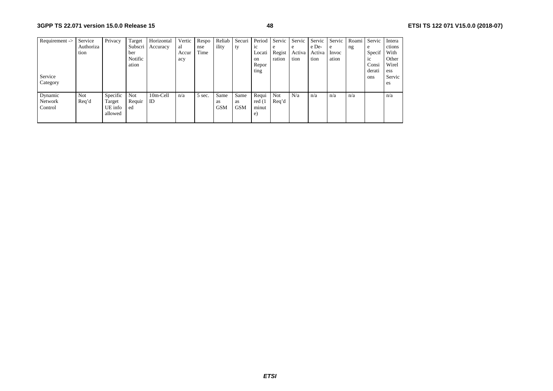| Requirement -> | Service   | Privacy  | Target     | Horizontal | Vertic | Respo  | Reliab     | Securi     | Period         | Servic | Servic | Servic | Servic | Roami | Servic         | Intera |
|----------------|-----------|----------|------------|------------|--------|--------|------------|------------|----------------|--------|--------|--------|--------|-------|----------------|--------|
|                | Authoriza |          | Subscri    | Accuracy   | al     | nse    | ility      | ty         | 1 <sup>c</sup> | e      | e      | e De-  | e      | ng    | e              | ctions |
|                | tion      |          | ber        |            | Accur  | Time   |            |            | Locati         | Regist | Activa | Activa | Invoc  |       | Specif         | With   |
|                |           |          | Notific    |            | acy    |        |            |            | on             | ration | tion   | tion   | ation  |       | 1 <sup>c</sup> | Other  |
|                |           |          | ation      |            |        |        |            |            | Repor          |        |        |        |        |       | Consi          | Wirel  |
|                |           |          |            |            |        |        |            |            | ting           |        |        |        |        |       | derati         | ess    |
| Service        |           |          |            |            |        |        |            |            |                |        |        |        |        |       | ons            | Servic |
| Category       |           |          |            |            |        |        |            |            |                |        |        |        |        |       |                | es     |
|                |           |          |            |            |        |        |            |            |                |        |        |        |        |       |                |        |
| Dynamic        | Not       | Specific | <b>Not</b> | 10m-Cell   | n/a    | 5 sec. | Same       | Same       | Requi          | Not    | N/a    | n/a    | n/a    | n/a   |                | n/a    |
| Network        | Req'd     | Target   | Requir     | ID         |        |        | <b>as</b>  | as         | red (1         | Req'd  |        |        |        |       |                |        |
| Control        |           | UE info  | ed         |            |        |        | <b>GSM</b> | <b>GSM</b> | minut          |        |        |        |        |       |                |        |
|                |           | allowed  |            |            |        |        |            |            | e)             |        |        |        |        |       |                |        |
|                |           |          |            |            |        |        |            |            |                |        |        |        |        |       |                |        |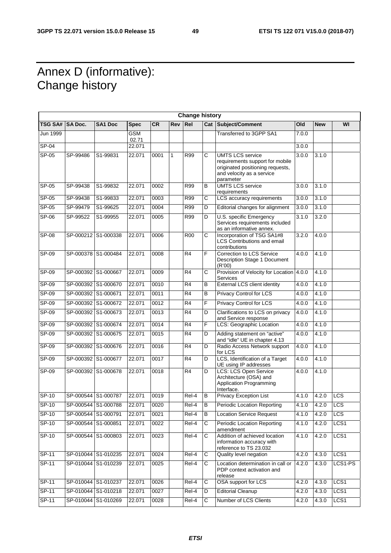# Annex D (informative): Change history

|                  |                     |                     |                     |           |              | <b>Change history</b> |                |                                                                                                                                          |       |            |                  |
|------------------|---------------------|---------------------|---------------------|-----------|--------------|-----------------------|----------------|------------------------------------------------------------------------------------------------------------------------------------------|-------|------------|------------------|
| TSG SA#  SA Doc. |                     | <b>SA1 Doc</b>      | <b>Spec</b>         | <b>CR</b> | <b>Rev</b>   | Re <sub>l</sub>       |                | <b>Cat Subject/Comment</b>                                                                                                               | Old   | <b>New</b> | WI               |
| Jun 1999         |                     |                     | <b>GSM</b><br>02.71 |           |              |                       |                | Transferred to 3GPP SA1                                                                                                                  | 7.0.0 |            |                  |
| SP-04            |                     |                     | 22.071              |           |              |                       |                |                                                                                                                                          | 3.0.0 |            |                  |
| $SP-05$          | SP-99486            | S1-99831            | 22.071              | 0001      | $\mathbf{1}$ | R99                   | C              | <b>UMTS LCS service</b><br>requirements support for mobile<br>originated positioning requests,<br>and velocity as a service<br>parameter | 3.0.0 | 3.1.0      |                  |
| SP-05            | SP-99438            | S1-99832            | 22.071              | 0002      |              | R99                   | B              | <b>UMTS LCS service</b><br>requirements                                                                                                  | 3.0.0 | 3.1.0      |                  |
| $SP-05$          | SP-99438            | S1-99833            | 22.071              | 0003      |              | R99                   | C              | LCS accuracy requirements                                                                                                                | 3.0.0 | 3.1.0      |                  |
| $SP-05$          | SP-99479            | S1-99625            | 22.071              | 0004      |              | <b>R99</b>            | D              | Editorial changes for alignment                                                                                                          | 3.0.0 | 3.1.0      |                  |
| $SP-06$          | SP-99522            | S1-99955            | 22.071              | 0005      |              | R99                   | D              | U.S. specific Emergency<br>Services requirements included<br>as an informative annex.                                                    | 3.1.0 | 3.2.0      |                  |
| <b>SP-08</b>     |                     | SP-000212 S1-000338 | 22.071              | 0006      |              | <b>R00</b>            | C              | Incorporation of TSG SA1#8<br>LCS Contributions and email<br>contributions                                                               | 3.2.0 | 4.0.0      |                  |
| $SP-09$          |                     | SP-000378 S1-000484 | 22.071              | 0008      |              | $\overline{R4}$       | F              | Correction to LCS Service<br>Description Stage 1 Document<br>(R'00)                                                                      | 4.0.0 | 4.1.0      |                  |
| $SP-09$          |                     | SP-000392 S1-000667 | 22.071              | 0009      |              | R <sub>4</sub>        | C              | Provision of Velocity for Location 4.0.0<br>Services                                                                                     |       | 4.1.0      |                  |
| $SP-09$          |                     | SP-000392 S1-000670 | 22.071              | 0010      |              | R4                    | $\overline{B}$ | <b>External LCS client identity</b>                                                                                                      | 4.0.0 | 4.1.0      |                  |
| $SP-09$          |                     | SP-000392 S1-000671 | 22.071              | 0011      |              | $\overline{R4}$       | B              | <b>Privacy Control for LCS</b>                                                                                                           | 4.0.0 | 4.1.0      |                  |
| SP-09            |                     | SP-000392 S1-000672 | 22.071              | 0012      |              | R <sub>4</sub>        | F              | Privacy Control for LCS                                                                                                                  | 4.0.0 | 4.1.0      |                  |
| $SP-09$          |                     | SP-000392 S1-000673 | 22.071              | 0013      |              | $\overline{R4}$       | D              | Clarifications to LCS on privacy<br>and Service response                                                                                 | 4.0.0 | 4.1.0      |                  |
| SP-09            |                     | SP-000392 S1-000674 | 22.071              | 0014      |              | R4                    | F              | LCS: Geographic Location                                                                                                                 | 4.0.0 | 4.1.0      |                  |
| $SP-09$          |                     | SP-000392 S1-000675 | 22.071              | 0015      |              | R <sub>4</sub>        | D              | Adding statement on "active"<br>and "idle" UE in chapter 4.13                                                                            | 4.0.0 | 4.1.0      |                  |
| SP-09            |                     | SP-000392 S1-000676 | 22.071              | 0016      |              | R <sub>4</sub>        | D              | Radio Access Network support<br>for LCS                                                                                                  | 4.0.0 | 4.1.0      |                  |
| $SP-09$          |                     | SP-000392 S1-000677 | 22.071              | 0017      |              | $\overline{R4}$       | D              | LCS, Identification of a Target<br>UE using IP addresses                                                                                 | 4.0.0 | 4.1.0      |                  |
| $SP-09$          |                     | SP-000392 S1-000678 | 22.071              | 0018      |              | R4                    | $\overline{D}$ | <b>LCS: LCS Open Service</b><br>Architecture (OSA) and<br><b>Application Programming</b><br>Interface.                                   | 4.0.0 | 4.1.0      |                  |
| $SP-10$          |                     | SP-000544 S1-000787 | 22.071              | 0019      |              | Rel-4                 | B              | <b>Privacy Exception List</b>                                                                                                            | 4.1.0 | 4.2.0      | LCS              |
| <b>SP-10</b>     |                     | SP-000544 S1-000788 | 22.071              | 0020      |              | Rel-4                 | B              | <b>Periodic Location Reporting</b>                                                                                                       | 4.1.0 | 4.2.0      | LCS              |
| SP-10            | SP-000544 S1-000791 |                     | 22.071              | 0021      |              | $Rel-4$               | B              | <b>Location Service Request</b>                                                                                                          | 4.1.0 | 4.2.0      | LCS              |
| $SP-10$          |                     | SP-000544 S1-000851 | 22.071              | 0022      |              | Rel-4                 | C              | Periodic Location Reporting<br>amendment                                                                                                 | 4.1.0 | 4.2.0      | LCS1             |
| $SP-10$          |                     | SP-000544 S1-000803 | 22.071              | 0023      |              | Rel-4                 | C              | Addition of achieved location<br>information accuracy with<br>reference to TS 23.032                                                     | 4.1.0 | 4.2.0      | LCS <sub>1</sub> |
| $SP-11$          |                     | SP-010044 S1-010235 | 22.071              | 0024      |              | $Rel-4$               | $\overline{C}$ | Quality level negation                                                                                                                   | 4.2.0 | 4.3.0      | LCS <sub>1</sub> |
| SP-11            |                     | SP-010044 S1-010239 | 22.071              | 0025      |              | Rel-4                 | С              | Location determination in call or<br>PDP context activation and<br>release                                                               | 4.2.0 | 4.3.0      | LCS1-PS          |
| $SP-11$          |                     | SP-010044 S1-010237 | 22.071              | 0026      |              | $Rel-4$               | $\overline{C}$ | OSA support for LCS                                                                                                                      | 4.2.0 | 4.3.0      | LCS <sub>1</sub> |
| $SP-11$          |                     | SP-010044 S1-010218 | 22.071              | 0027      |              | Rel-4                 | D              | <b>Editorial Cleanup</b>                                                                                                                 | 4.2.0 | 4.3.0      | LCS1             |
| $SP-11$          |                     | SP-010044 S1-010269 | 22.071              | 0028      |              | Rel-4                 | $\overline{C}$ | Number of LCS Clients                                                                                                                    | 4.2.0 | 4.3.0      | LCS <sub>1</sub> |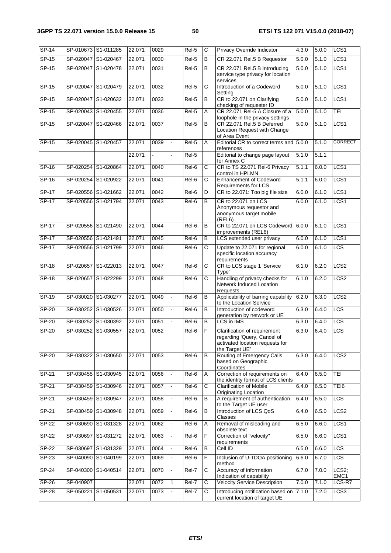| <b>SP-14</b> | SP-010673 S1-011285 |                     | 22.071 | 0029 |   | Rel-5             | C                     | Privacy Override Indicator                                                                                       | 4.3.0 | 5.0.0 | LCS <sub>1</sub> |
|--------------|---------------------|---------------------|--------|------|---|-------------------|-----------------------|------------------------------------------------------------------------------------------------------------------|-------|-------|------------------|
| $SP-15$      |                     | SP-020047 S1-020467 | 22.071 | 0030 |   | Rel-5             | B                     | CR 22.071 Rel.5 B Requestor                                                                                      | 5.0.0 | 5.1.0 | LCS1             |
| $SP-15$      |                     | SP-020047 S1-020478 | 22.071 | 0031 |   | Rel-5             | В                     | CR 22.071 Rel.5 B Introducing<br>service type privacy for location<br>services                                   | 5.0.0 | 5.1.0 | LCS <sub>1</sub> |
| $SP-15$      |                     | SP-020047 S1-020479 | 22.071 | 0032 |   | Rel-5             | С                     | Introduction of a Codeword<br>Setting                                                                            | 5.0.0 | 5.1.0 | LCS1             |
| $SP-15$      | SP-020047 S1-020632 |                     | 22.071 | 0033 |   | Rel-5             | B                     | CR to 22.071 on Clarifying<br>checking of requester ID                                                           | 5.0.0 | 5.1.0 | LCS1             |
| $SP-15$      |                     | SP-020043 S1-020455 | 22.071 | 0036 |   | Rel-5             | Α                     | CR 22.071 Rel-5 A Closure of a<br>loophole in the privacy settings                                               | 5.0.0 | 5.1.0 | TEI              |
| $SP-15$      |                     | SP-020047 S1-020466 | 22.071 | 0037 |   | Rel-5             | В                     | CR 22.071 Rel.5 B Deferred<br>Location Request with Change<br>of Area Event                                      | 5.0.0 | 5.1.0 | LCS <sub>1</sub> |
| $SP-15$      | SP-020045 S1-020457 |                     | 22.071 | 0039 |   | Rel-5             | Α                     | Editorial CR to correct terms and 5.0.0<br>references                                                            |       | 5.1.0 | <b>CORRECT</b>   |
|              |                     |                     | 22.071 |      |   | Rel-5             |                       | Editorial to change page layout<br>for Annex C                                                                   | 5.1.0 | 5.1.1 |                  |
| $SP-16$      | SP-020254 S1-020864 |                     | 22.071 | 0040 |   | Rel-6             | $\overline{\text{c}}$ | CR to TS 22.071 Rel-6 Privacy<br>control in HPLMN                                                                | 5.1.1 | 6.0.0 | LCS1             |
| SP-16        |                     | SP-020254 S1-020922 | 22.071 | 0041 |   | $\overline{Rel6}$ | C                     | <b>Enhancement of Codeword</b><br>Requirements for LCS                                                           | 5.1.1 | 6.0.0 | LCS <sub>1</sub> |
| $SP-17$      |                     | SP-020556 S1-021662 | 22.071 | 0042 |   | $Rel-6$           | $\overline{D}$        | CR to 22.071: Too big file size                                                                                  | 6.0.0 | 6.1.0 | LCS1             |
| <b>SP-17</b> |                     | SP-020556 S1-021794 | 22.071 | 0043 |   | Rel-6             | B                     | CR to 22.071 on LCS<br>Anonymous requestor and<br>anonymous target mobile<br>(REL6)                              | 6.0.0 | 6.1.0 | LCS1             |
| $SP-17$      |                     | SP-020556 S1-021490 | 22.071 | 0044 |   | Rel-6             | B                     | CR to 22.071 on LCS Codeword<br>improvements (REL6)                                                              | 6.0.0 | 6.1.0 | LCS <sub>1</sub> |
| $SP-17$      | SP-020556 S1-021491 |                     | 22.071 | 0045 |   | Rel-6             | В                     | LCS extended user privacy                                                                                        | 6.0.0 | 6.1.0 | LCS <sub>1</sub> |
| $SP-17$      |                     | SP-020556 S1-021799 | 22.071 | 0046 |   | Rel-6             | $\overline{\text{c}}$ | Update to 22.071 for regional<br>specific location accuracy<br>requirements                                      | 6.0.0 | 6.1.0 | <b>LCS</b>       |
| $SP-18$      |                     | SP-020657 S1-022013 | 22.071 | 0047 |   | Rel-6             | C                     | CR to LCS stage 1 'Service<br>Type'                                                                              | 6.1.0 | 6.2.0 | LCS <sub>2</sub> |
| $SP-18$      |                     | SP-020657 S1-022299 | 22.071 | 0048 |   | Rel-6             | $\overline{\text{c}}$ | Handling of privacy checks for<br>Network Induced Location<br><b>Requests</b>                                    | 6.1.0 | 6.2.0 | LCS <sub>2</sub> |
| $SP-19$      |                     | SP-030020 S1-030277 | 22.071 | 0049 |   | Rel-6             | В                     | Applicability of barring capability<br>to the Location Service                                                   | 6.2.0 | 6.3.0 | LCS <sub>2</sub> |
| <b>SP-20</b> |                     | SP-030252 S1-030526 | 22.071 | 0050 |   | Rel-6             | $\overline{B}$        | Introduction of codeword<br>generation by network or UE                                                          | 6.3.0 | 6.4.0 | <b>LCS</b>       |
| $SP-20$      |                     | SP-030252 S1-030392 | 22.071 | 0051 |   | $Rel-6$           | B                     | LCS in IMS                                                                                                       | 6.3.0 | 6.4.0 | <b>LCS</b>       |
| <b>SP-20</b> |                     | SP-030252 S1-030557 | 22.071 | 0052 |   | Rel-6             | F                     | Clarification of requirement<br>regarding 'Query, Cancel of<br>activated location requests for<br>the Target UE' | 6.3.0 | 6.4.0 | <b>LCS</b>       |
| $SP-20$      |                     | SP-030322 S1-030650 | 22.071 | 0053 |   | Rel-6             | B                     | Routing of Emergency Calls<br>based on Geographic<br>Coordinates                                                 | 6.3.0 | 6.4.0 | LCS <sub>2</sub> |
| SP-21        |                     | SP-030455 S1-030945 | 22.071 | 0056 |   | Rel-6             | Α                     | Correction of requirements on<br>the identity format of LCS clients                                              | 6.4.0 | 6.5.0 | TEI              |
| $SP-21$      |                     | SP-030459 S1-030946 | 22.071 | 0057 |   | Rel-6             | C                     | <b>Clarification of Mobile</b><br>Originating Location                                                           | 6.4.0 | 6.5.0 | TEI6             |
| SP-21        | SP-030459 S1-030947 |                     | 22.071 | 0058 |   | Rel-6             | В                     | A requirement of authentication<br>to the Target UE user                                                         | 6.4.0 | 6.5.0 | <b>LCS</b>       |
| $SP-21$      |                     | SP-030459 S1-030948 | 22.071 | 0059 |   | Rel-6             | В                     | Introduction of LCS QoS<br>Classes                                                                               | 6.4.0 | 6.5.0 | LCS <sub>2</sub> |
| $SP-22$      |                     | SP-030690 S1-031328 | 22.071 | 0062 |   | Rel-6             | Α                     | Removal of misleading and<br>obsolete text                                                                       | 6.5.0 | 6.6.0 | LCS <sub>1</sub> |
| $SP-22$      | SP-030697           | S1-031272           | 22.071 | 0063 |   | Rel-6             | F                     | Correction of "velocity"<br>requirements                                                                         | 6.5.0 | 6.6.0 | LCS <sub>1</sub> |
| $SP-22$      |                     | SP-030697 S1-031329 | 22.071 | 0064 |   | Rel-6             | В                     | Cell ID                                                                                                          | 6.5.0 | 6.6.0 | <b>LCS</b>       |
| SP-23        |                     | SP-040090 S1-040199 | 22.071 | 0069 |   | Rel-6             | F                     | Inclusion of U-TDOA positioning<br>method                                                                        | 6.6.0 | 6.7.0 | LCS              |
| SP-24        |                     | SP-040300 S1-040514 | 22.071 | 0070 |   | Rel-7             | C                     | Accuracy of information<br>Indication of capability                                                              | 6.7.0 | 7.0.0 | LCS2;<br>EMC1    |
| $SP-26$      | SP-040907           |                     | 22.071 | 0072 | 1 | Rel-7             | C                     | <b>Velocity Service Description</b>                                                                              | 7.0.0 | 7.1.0 | LCS-R7           |
| $SP-28$      | SP-050221 S1-050531 |                     | 22.071 | 0073 |   | Rel-7             | C                     | Introducing notification based on 7.1.0<br>current location of target UE                                         |       | 7.2.0 | LCS <sub>3</sub> |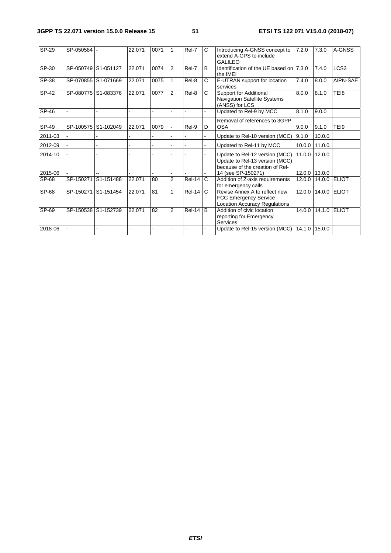| $SP-29$ | SP-050584 |                     | 22.071 | 0071 |                | Rel-7         | C            | Introducing A-GNSS concept to<br>extend A-GPS to include<br><b>GALILEO</b>                            | 7.2.0         | 7.3.0         | A-GNSS                  |
|---------|-----------|---------------------|--------|------|----------------|---------------|--------------|-------------------------------------------------------------------------------------------------------|---------------|---------------|-------------------------|
| SP-30   |           | SP-050749 S1-051127 | 22.071 | 0074 | <b>2</b>       | Rel-7         | B.           | Identification of the UE based on 7.3.0<br>the IMEI                                                   |               | 7.4.0         | $\overline{{\sf LCS3}}$ |
| $SP-38$ |           | SP-070855 S1-071669 | 22.071 | 0075 |                | Rel-8         | C            | E-UTRAN support for location<br>services                                                              | 7.4.0         | 8.0.0         | AIPN-SAE                |
| $SP-42$ |           | SP-080775 S1-083376 | 22.071 | 0077 | 2              | Rel-8         | C            | Support for Additional<br><b>Navigation Satellite Systems</b><br>(ANSS) for LCS                       | 8.0.0         | 8.1.0         | TE <sub>18</sub>        |
| $SP-46$ |           |                     |        |      |                |               |              | Updated to Rel-9 by MCC                                                                               | 8.1.0         | 9.0.0         |                         |
| SP-49   | SP-100575 | S1-102049           | 22.071 | 0079 |                | Rel-9         | D            | Removal of references to 3GPP<br><b>OSA</b>                                                           | 9.0.0         | 9.1.0         | TEI9                    |
| 2011-03 |           |                     |        |      |                |               |              | Update to Rel-10 version (MCC)                                                                        | 9.1.0         | 10.0.0        |                         |
| 2012-09 |           |                     |        |      |                |               |              | Updated to Rel-11 by MCC                                                                              | 10.0.0        | 11.0.0        |                         |
| 2014-10 |           |                     |        |      |                |               |              | Update to Rel-12 version (MCC)                                                                        | 11.0.0 12.0.0 |               |                         |
| 2015-06 |           |                     |        |      |                |               |              | Update to Rel-13 version (MCC)<br>because of the creation of Rel-<br>14 (see SP-150271)               |               | 12.0.0 13.0.0 |                         |
| SP-68   | SP-150271 | S1-151488           | 22.071 | 80   | $\overline{2}$ | $Rel-14$      | $\mathsf{C}$ | Addition of Z-axis requirements<br>for emergency calls                                                | 12.0.0        | 14.0.0 ELIOT  |                         |
| SP-68   | SP-150271 | S1-151454           | 22.071 | 81   |                | <b>Rel-14</b> | $\mathsf{C}$ | Revise Annex A to reflect new<br><b>FCC Emergency Service</b><br><b>Location Accuracy Regulations</b> | 12.0.0        | 14.0.0 ELIOT  |                         |
| $SP-69$ |           | SP-150538 S1-152739 | 22.071 | 82   | $\overline{2}$ | Rel-14        | B            | Addition of civic location<br>reporting for Emergency<br>Services                                     | 14.0.0        | 14.1.0        | <b>ELIOT</b>            |
| 2018-06 |           |                     |        |      |                |               |              | Update to Rel-15 version (MCC)                                                                        | 14.1.0 15.0.0 |               |                         |